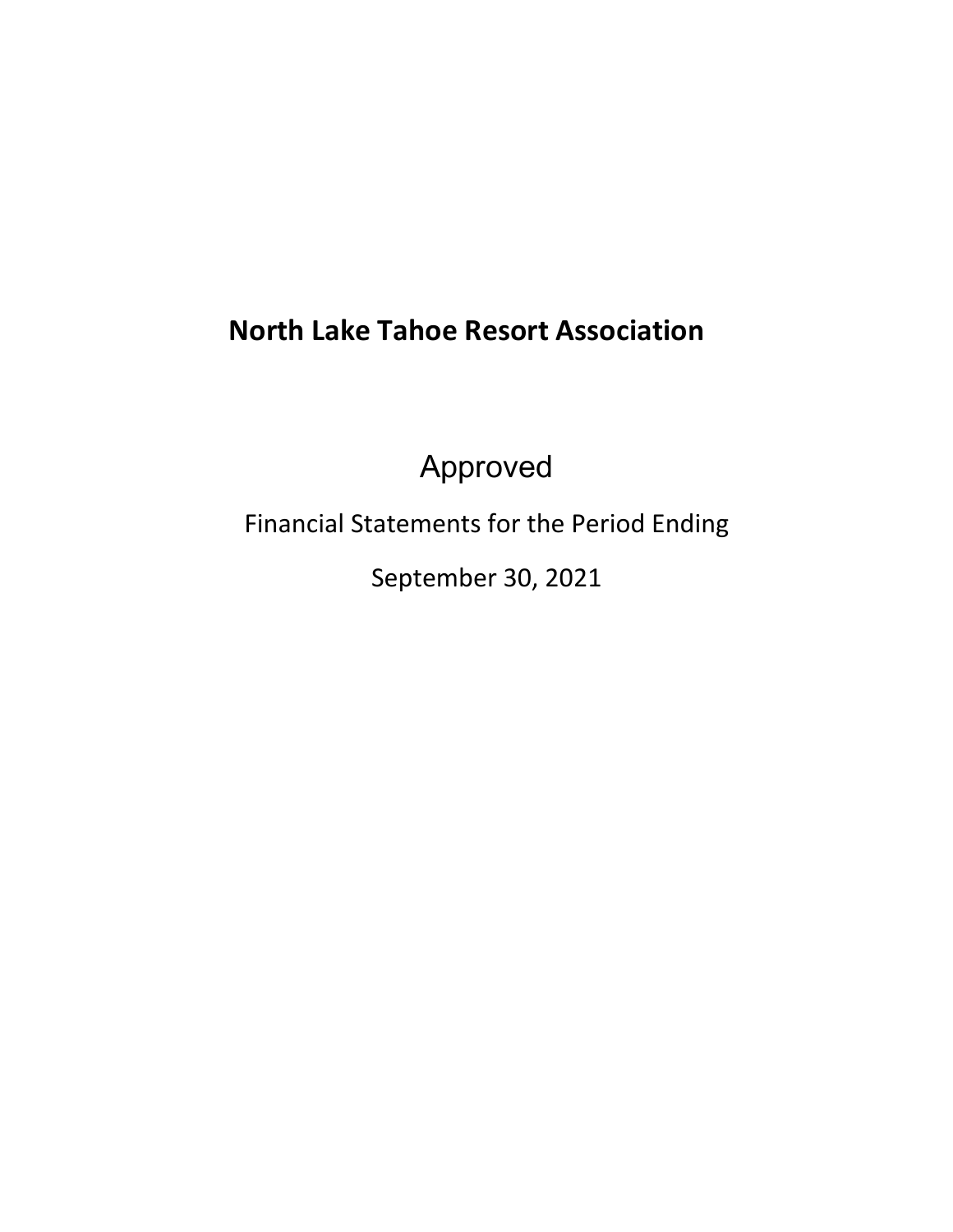# **North Lake Tahoe Resort Association**

Approved

Financial Statements for the Period Ending

September 30, 2021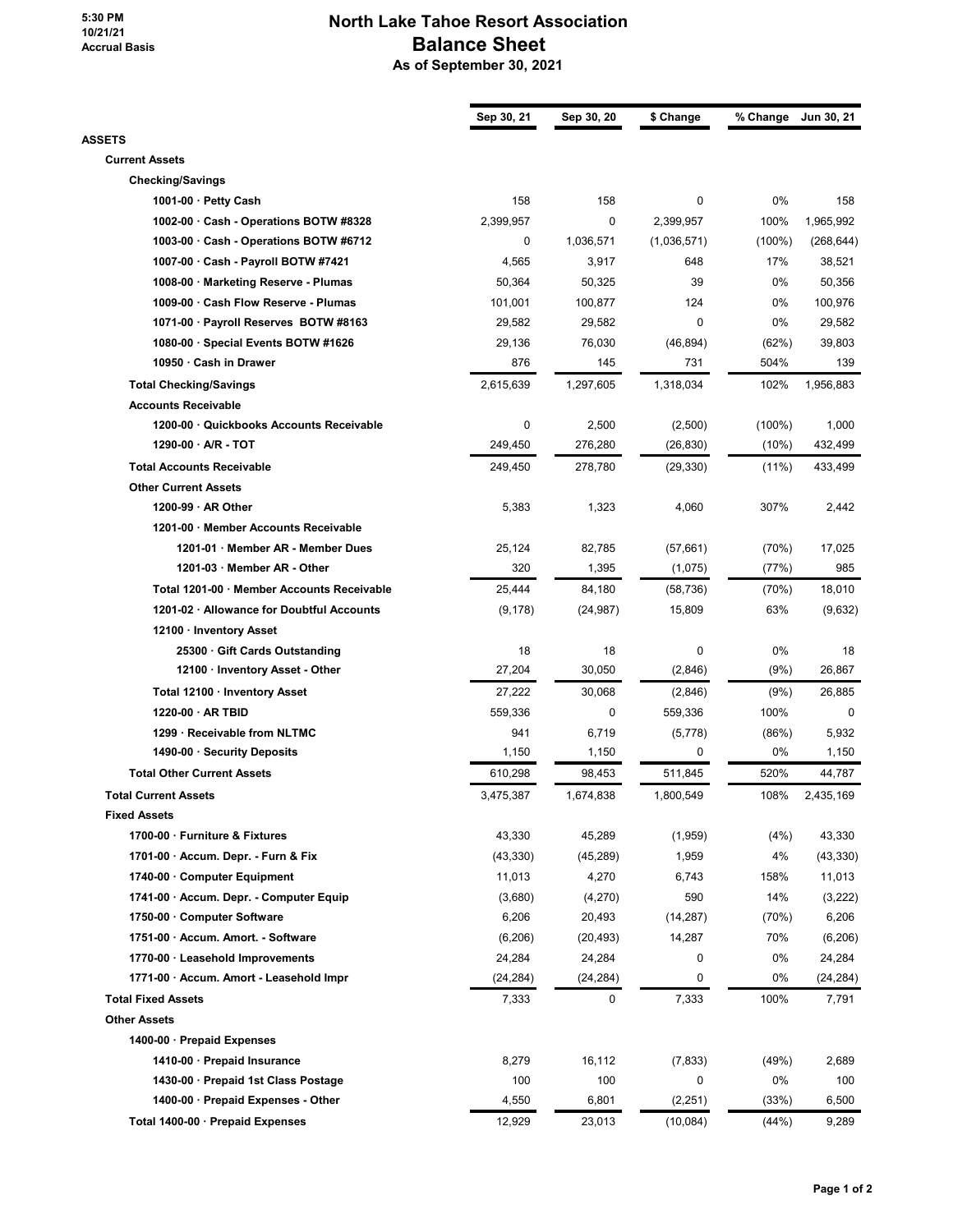**5:30 PM 10/21/21 Accrual Basis**

## **North Lake Tahoe Resort Association Balance Sheet As of September 30, 2021**

|                                            | Sep 30, 21 | Sep 30, 20 | \$ Change   | % Change  | Jun 30, 21         |
|--------------------------------------------|------------|------------|-------------|-----------|--------------------|
| <b>ASSETS</b>                              |            |            |             |           |                    |
| <b>Current Assets</b>                      |            |            |             |           |                    |
| <b>Checking/Savings</b>                    |            |            |             |           |                    |
| 1001-00 · Petty Cash                       | 158        | 158        | 0           | 0%        | 158                |
| 1002-00 · Cash - Operations BOTW #8328     | 2,399,957  | 0          | 2,399,957   | 100%      | 1,965,992          |
| 1003-00 Cash - Operations BOTW #6712       | 0          | 1,036,571  | (1,036,571) | $(100\%)$ | (268, 644)         |
| 1007-00 · Cash - Payroll BOTW #7421        | 4,565      | 3,917      | 648         | 17%       | 38,521             |
| 1008-00 · Marketing Reserve - Plumas       | 50,364     | 50,325     | 39          | 0%        | 50,356             |
| 1009-00 · Cash Flow Reserve - Plumas       | 101,001    | 100,877    | 124         | 0%        | 100,976            |
| 1071-00 · Payroll Reserves BOTW #8163      | 29,582     | 29,582     | 0           | 0%        | 29,582             |
| 1080-00 · Special Events BOTW #1626        | 29,136     | 76,030     | (46, 894)   | (62%)     | 39,803             |
| 10950 · Cash in Drawer                     | 876        | 145        | 731         | 504%      | 139                |
| <b>Total Checking/Savings</b>              | 2,615,639  | 1,297,605  | 1,318,034   | 102%      | 1,956,883          |
| <b>Accounts Receivable</b>                 |            |            |             |           |                    |
| 1200-00 Quickbooks Accounts Receivable     | 0          | 2,500      | (2,500)     | $(100\%)$ | 1,000              |
| $1290-00$ · A/R - TOT                      | 249,450    | 276,280    | (26, 830)   | $(10\%)$  | 432,499            |
| <b>Total Accounts Receivable</b>           | 249,450    | 278,780    | (29, 330)   | $(11\%)$  | 433,499            |
| <b>Other Current Assets</b>                |            |            |             |           |                    |
| 1200-99 · AR Other                         | 5,383      | 1,323      | 4,060       | 307%      | 2,442              |
| 1201-00 · Member Accounts Receivable       |            |            |             |           |                    |
| 1201-01 · Member AR - Member Dues          | 25,124     | 82,785     | (57,661)    | (70%)     | 17,025             |
| 1201-03 · Member AR - Other                | 320        | 1,395      | (1,075)     | (77%)     | 985                |
| Total 1201-00 · Member Accounts Receivable | 25,444     | 84,180     | (58, 736)   | (70%)     | 18,010             |
| 1201-02 · Allowance for Doubtful Accounts  | (9, 178)   | (24, 987)  | 15,809      | 63%       | (9,632)            |
| 12100 · Inventory Asset                    |            |            |             |           |                    |
| 25300 · Gift Cards Outstanding             | 18         | 18         | 0           | 0%        | 18                 |
| 12100 · Inventory Asset - Other            | 27,204     | 30,050     | (2,846)     | (9%)      | 26,867             |
| Total 12100 · Inventory Asset              | 27,222     | 30,068     | (2,846)     | (9%)      | 26,885             |
| 1220-00 · AR TBID                          | 559,336    | 0          | 559,336     | 100%      | 0                  |
| 1299 · Receivable from NLTMC               | 941        | 6,719      | (5,778)     | (86%)     | 5,932              |
| 1490-00 · Security Deposits                | 1,150      | 1,150      | 0           | 0%        | 1,150              |
| <b>Total Other Current Assets</b>          | 610,298    | 98,453     | 511,845     | 520%      | 44,787             |
| <b>Total Current Assets</b>                | 3,475,387  | 1,674,838  | 1,800,549   | 108%      | 2,435,169          |
| <b>Fixed Assets</b>                        |            |            |             |           |                    |
| 1700-00 · Furniture & Fixtures             | 43,330     | 45,289     | (1,959)     | (4%)      | 43,330             |
| 1701-00 · Accum. Depr. - Furn & Fix        | (43, 330)  | (45, 289)  | 1,959       | 4%        | (43, 330)          |
| 1740-00 Computer Equipment                 | 11,013     | 4,270      | 6,743       | 158%      | 11,013             |
| 1741-00 · Accum. Depr. - Computer Equip    | (3,680)    | (4,270)    | 590         | 14%       | (3,222)            |
| 1750-00 Computer Software                  | 6,206      | 20,493     | (14, 287)   | (70%)     | 6,206              |
| 1751-00 · Accum. Amort. - Software         | (6,206)    | (20, 493)  | 14,287      | 70%       | (6,206)            |
| 1770-00 · Leasehold Improvements           | 24,284     | 24,284     | 0           | 0%        |                    |
| 1771-00 · Accum. Amort - Leasehold Impr    | (24, 284)  | (24, 284)  | 0           | 0%        | 24,284<br>(24,284) |
| <b>Total Fixed Assets</b>                  |            | 0          |             |           |                    |
|                                            | 7,333      |            | 7,333       | 100%      | 7,791              |
| <b>Other Assets</b>                        |            |            |             |           |                    |
| 1400-00 · Prepaid Expenses                 |            |            |             |           |                    |
| 1410-00 · Prepaid Insurance                | 8,279      | 16,112     | (7, 833)    | (49%)     | 2,689              |
| 1430-00 · Prepaid 1st Class Postage        | 100        | 100        | 0           | 0%        | 100                |
| 1400-00 · Prepaid Expenses - Other         | 4,550      | 6,801      | (2, 251)    | (33%)     | 6,500              |
| Total 1400-00 · Prepaid Expenses           | 12,929     | 23,013     | (10,084)    | (44%)     | 9,289              |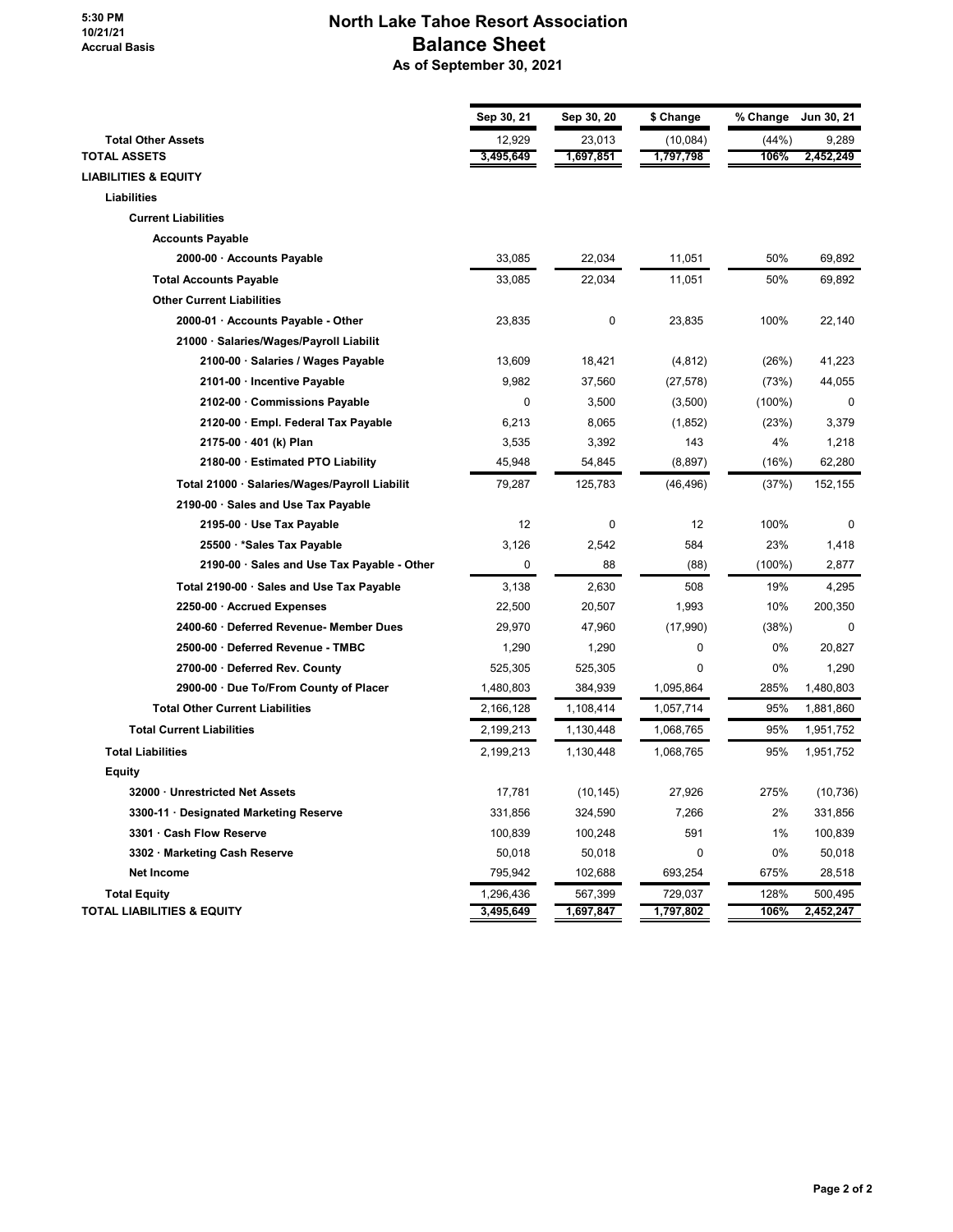#### **5:30 PM 10/21/21 Accrual Basis**

## **North Lake Tahoe Resort Association Balance Sheet As of September 30, 2021**

|                                               | Sep 30, 21 | Sep 30, 20 | \$ Change | % Change  | Jun 30, 21  |
|-----------------------------------------------|------------|------------|-----------|-----------|-------------|
| <b>Total Other Assets</b>                     | 12,929     | 23,013     | (10,084)  | (44%)     | 9,289       |
| <b>TOTAL ASSETS</b>                           | 3,495,649  | 1,697,851  | 1,797,798 | 106%      | 2,452,249   |
| <b>LIABILITIES &amp; EQUITY</b>               |            |            |           |           |             |
| <b>Liabilities</b>                            |            |            |           |           |             |
| <b>Current Liabilities</b>                    |            |            |           |           |             |
| <b>Accounts Payable</b>                       |            |            |           |           |             |
| 2000-00 · Accounts Payable                    | 33,085     | 22,034     | 11,051    | 50%       | 69,892      |
| <b>Total Accounts Payable</b>                 | 33,085     | 22,034     | 11,051    | 50%       | 69,892      |
| <b>Other Current Liabilities</b>              |            |            |           |           |             |
| 2000-01 · Accounts Payable - Other            | 23,835     | 0          | 23,835    | 100%      | 22,140      |
| 21000 · Salaries/Wages/Payroll Liabilit       |            |            |           |           |             |
| 2100-00 · Salaries / Wages Payable            | 13,609     | 18,421     | (4, 812)  | (26%)     | 41,223      |
| 2101-00 · Incentive Payable                   | 9,982      | 37,560     | (27, 578) | (73%)     | 44,055      |
| 2102-00 Commissions Payable                   | 0          | 3,500      | (3,500)   | $(100\%)$ | 0           |
| 2120-00 · Empl. Federal Tax Payable           | 6,213      | 8,065      | (1, 852)  | (23%)     | 3,379       |
| 2175-00 · 401 (k) Plan                        | 3,535      | 3,392      | 143       | 4%        | 1,218       |
| 2180-00 · Estimated PTO Liability             | 45,948     | 54,845     | (8,897)   | (16%)     | 62,280      |
| Total 21000 · Salaries/Wages/Payroll Liabilit | 79,287     | 125,783    | (46, 496) | (37%)     | 152,155     |
| 2190-00 · Sales and Use Tax Payable           |            |            |           |           |             |
| 2195-00 · Use Tax Payable                     | 12         | 0          | 12        | 100%      | 0           |
| 25500 · * Sales Tax Payable                   | 3,126      | 2,542      | 584       | 23%       | 1,418       |
| 2190-00 · Sales and Use Tax Payable - Other   | 0          | 88         | (88)      | (100%)    | 2,877       |
| Total 2190-00 · Sales and Use Tax Payable     | 3,138      | 2,630      | 508       | 19%       | 4,295       |
| 2250-00 · Accrued Expenses                    | 22,500     | 20,507     | 1,993     | 10%       | 200,350     |
| 2400-60 · Deferred Revenue- Member Dues       | 29,970     | 47,960     | (17,990)  | (38%)     | $\mathbf 0$ |
| 2500-00 · Deferred Revenue - TMBC             | 1,290      | 1,290      | 0         | 0%        | 20,827      |
| 2700-00 · Deferred Rev. County                | 525,305    | 525,305    | 0         | 0%        | 1,290       |
| 2900-00 · Due To/From County of Placer        | 1,480,803  | 384,939    | 1,095,864 | 285%      | 1,480,803   |
| <b>Total Other Current Liabilities</b>        | 2,166,128  | 1,108,414  | 1,057,714 | 95%       | 1,881,860   |
| <b>Total Current Liabilities</b>              | 2,199,213  | 1,130,448  | 1,068,765 | 95%       | 1,951,752   |
| <b>Total Liabilities</b>                      | 2,199,213  | 1,130,448  | 1,068,765 | 95%       | 1,951,752   |
| Equity                                        |            |            |           |           |             |
| 32000 · Unrestricted Net Assets               | 17,781     | (10, 145)  | 27,926    | 275%      | (10, 736)   |
| 3300-11 · Designated Marketing Reserve        | 331,856    | 324,590    | 7,266     | 2%        | 331,856     |
| 3301 · Cash Flow Reserve                      | 100,839    | 100,248    | 591       | 1%        | 100,839     |
| 3302 · Marketing Cash Reserve                 | 50,018     | 50,018     | 0         | 0%        | 50,018      |
| <b>Net Income</b>                             | 795,942    | 102,688    | 693,254   | 675%      | 28,518      |
| <b>Total Equity</b>                           | 1,296,436  | 567,399    | 729,037   | 128%      | 500,495     |
| <b>TOTAL LIABILITIES &amp; EQUITY</b>         | 3,495,649  | 1,697,847  | 1,797,802 | 106%      | 2,452,247   |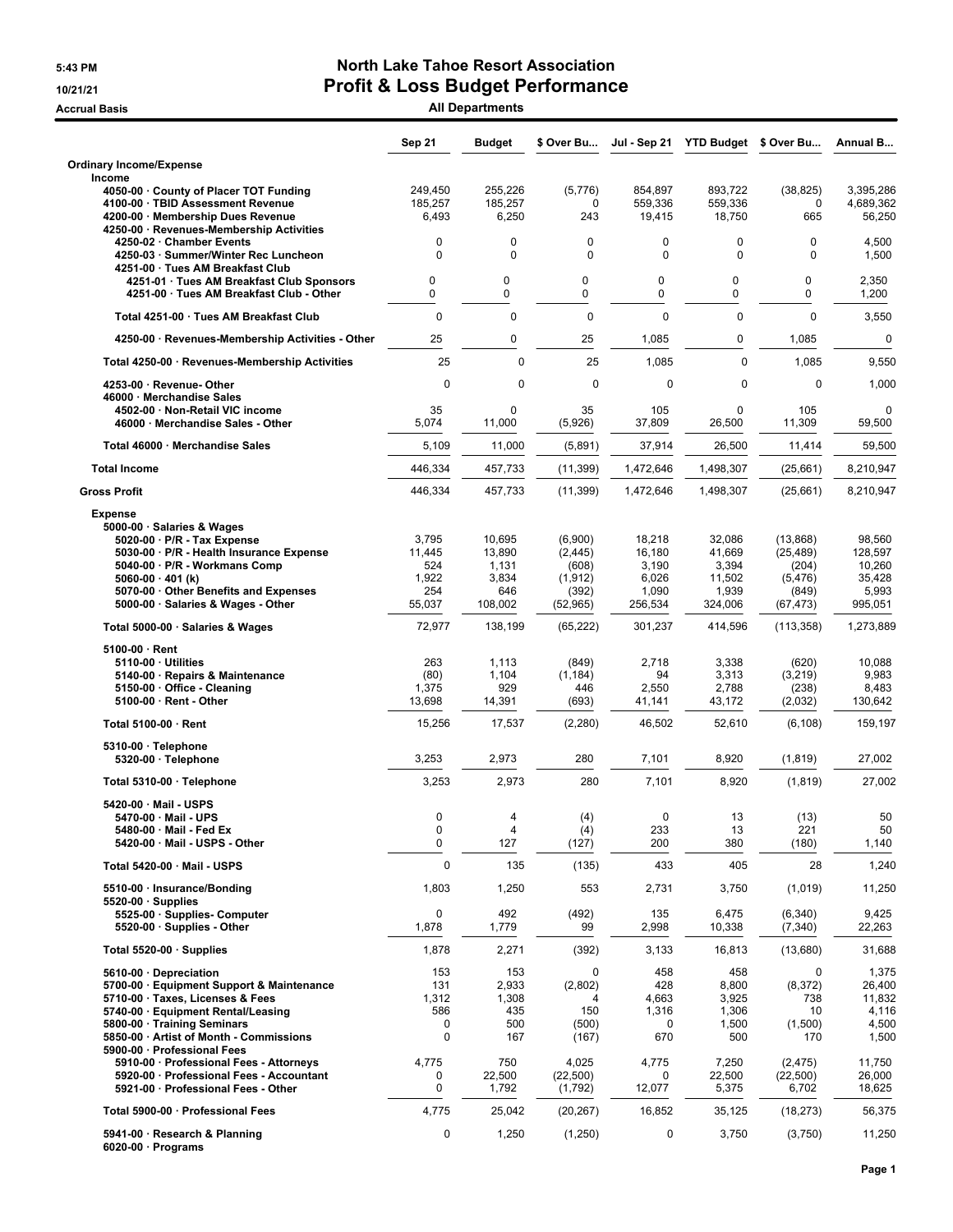### **5:43 PM North Lake Tahoe Resort Association 10/21/21 Profit & Loss Budget Performance**

**Accrual Basis All Departments**

|                                                                                                                                                                                                                                                                                                 | <b>Sep 21</b>                                           | <b>Budget</b>                                        | \$ Over Bu                                                     | Jul - Sep 21                                           | YTD Budget \$ Over Bu                                   |                                                                   | <b>Annual B</b>                                                |
|-------------------------------------------------------------------------------------------------------------------------------------------------------------------------------------------------------------------------------------------------------------------------------------------------|---------------------------------------------------------|------------------------------------------------------|----------------------------------------------------------------|--------------------------------------------------------|---------------------------------------------------------|-------------------------------------------------------------------|----------------------------------------------------------------|
| <b>Ordinary Income/Expense</b><br>Income                                                                                                                                                                                                                                                        |                                                         |                                                      |                                                                |                                                        |                                                         |                                                                   |                                                                |
| 4050-00 · County of Placer TOT Funding<br>4100-00 · TBID Assessment Revenue<br>4200-00 · Membership Dues Revenue                                                                                                                                                                                | 249,450<br>185,257<br>6,493                             | 255,226<br>185,257<br>6,250                          | (5,776)<br>0<br>243                                            | 854,897<br>559,336<br>19,415                           | 893,722<br>559,336<br>18,750                            | (38, 825)<br>0<br>665                                             | 3,395,286<br>4,689,362<br>56,250                               |
| 4250-00 · Revenues-Membership Activities<br>4250-02 · Chamber Events<br>4250-03 · Summer/Winter Rec Luncheon<br>4251-00 · Tues AM Breakfast Club                                                                                                                                                | 0<br>0                                                  | $\mathbf 0$<br>$\mathbf 0$                           | $\mathbf 0$<br>0                                               | 0<br>0                                                 | 0<br>0                                                  | $\mathbf 0$<br>$\mathbf 0$                                        | 4,500<br>1,500                                                 |
| 4251-01 · Tues AM Breakfast Club Sponsors<br>4251-00 · Tues AM Breakfast Club - Other                                                                                                                                                                                                           | 0<br>0                                                  | 0<br>0                                               | 0<br>0                                                         | 0<br>$\mathbf 0$                                       | 0<br>0                                                  | $\mathbf 0$<br>$\mathbf 0$                                        | 2,350<br>1,200                                                 |
| Total 4251-00 · Tues AM Breakfast Club                                                                                                                                                                                                                                                          | $\mathbf 0$                                             | 0                                                    | $\mathbf 0$                                                    | 0                                                      | 0                                                       | $\mathbf 0$                                                       | 3,550                                                          |
| 4250-00 · Revenues-Membership Activities - Other                                                                                                                                                                                                                                                | 25                                                      | $\mathbf 0$                                          | 25                                                             | 1,085                                                  | 0                                                       | 1,085                                                             | $\pmb{0}$                                                      |
| Total 4250-00 · Revenues-Membership Activities                                                                                                                                                                                                                                                  | 25                                                      | $\mathbf 0$                                          | 25                                                             | 1,085                                                  | $\mathbf 0$                                             | 1,085                                                             | 9,550                                                          |
| 4253-00 · Revenue- Other<br>46000 · Merchandise Sales                                                                                                                                                                                                                                           | $\mathbf 0$                                             | $\mathbf 0$                                          | $\mathbf 0$                                                    | 0                                                      | $\mathbf 0$                                             | $\mathbf{0}$                                                      | 1,000                                                          |
| 4502-00 · Non-Retail VIC income<br>46000 · Merchandise Sales - Other                                                                                                                                                                                                                            | 35<br>5,074                                             | $\mathbf 0$<br>11,000                                | 35<br>(5,926)                                                  | 105<br>37,809                                          | 0<br>26,500                                             | 105<br>11,309                                                     | $\mathbf 0$<br>59,500                                          |
| Total 46000 · Merchandise Sales                                                                                                                                                                                                                                                                 | 5,109                                                   | 11,000                                               | (5,891)                                                        | 37,914                                                 | 26,500                                                  | 11,414                                                            | 59.500                                                         |
| <b>Total Income</b>                                                                                                                                                                                                                                                                             | 446,334                                                 | 457,733                                              | (11, 399)                                                      | 1,472,646                                              | 1,498,307                                               | (25, 661)                                                         | 8,210,947                                                      |
| <b>Gross Profit</b>                                                                                                                                                                                                                                                                             | 446,334                                                 | 457,733                                              | (11, 399)                                                      | 1,472,646                                              | 1,498,307                                               | (25,661)                                                          | 8,210,947                                                      |
| <b>Expense</b><br>5000-00 · Salaries & Wages<br>5020-00 · P/R - Tax Expense<br>5030-00 · P/R - Health Insurance Expense<br>5040-00 · P/R - Workmans Comp<br>5060-00 $\cdot$ 401 (k)<br>5070-00 Other Benefits and Expenses<br>5000-00 · Salaries & Wages - Other                                | 3,795<br>11,445<br>524<br>1,922<br>254<br>55,037        | 10,695<br>13,890<br>1,131<br>3,834<br>646<br>108,002 | (6,900)<br>(2, 445)<br>(608)<br>(1, 912)<br>(392)<br>(52, 965) | 18,218<br>16,180<br>3,190<br>6,026<br>1,090<br>256,534 | 32,086<br>41,669<br>3,394<br>11,502<br>1,939<br>324,006 | (13, 868)<br>(25, 489)<br>(204)<br>(5, 476)<br>(849)<br>(67, 473) | 98,560<br>128,597<br>10,260<br>35,428<br>5,993<br>995,051      |
| Total 5000-00 · Salaries & Wages                                                                                                                                                                                                                                                                | 72,977                                                  | 138,199                                              | (65, 222)                                                      | 301,237                                                | 414,596                                                 | (113, 358)                                                        | 1,273,889                                                      |
| $5100-00 \cdot$ Rent<br>$5110-00 \cdot$ Utilities<br>5140-00 · Repairs & Maintenance<br>5150-00 · Office - Cleaning<br>5100-00 · Rent - Other                                                                                                                                                   | 263<br>(80)<br>1,375<br>13,698                          | 1,113<br>1,104<br>929<br>14,391                      | (849)<br>(1, 184)<br>446<br>(693)                              | 2,718<br>94<br>2,550<br>41,141                         | 3,338<br>3,313<br>2,788<br>43,172                       | (620)<br>(3,219)<br>(238)<br>(2,032)                              | 10,088<br>9,983<br>8,483<br>130,642                            |
| Total 5100-00 · Rent                                                                                                                                                                                                                                                                            | 15,256                                                  | 17,537                                               | (2, 280)                                                       | 46,502                                                 | 52,610                                                  | (6, 108)                                                          | 159,197                                                        |
| 5310-00 · Telephone<br>5320-00 · Telephone                                                                                                                                                                                                                                                      | 3,253                                                   | 2,973                                                | 280                                                            | 7,101                                                  | 8,920                                                   | (1, 819)                                                          | 27,002                                                         |
| Total 5310-00 · Telephone                                                                                                                                                                                                                                                                       | 3,253                                                   | 2,973                                                | 280                                                            | 7,101                                                  | 8,920                                                   | (1, 819)                                                          | 27,002                                                         |
| 5420-00 · Mail - USPS<br>5470-00 · Mail - UPS<br>5480-00 · Mail - Fed Ex<br>5420-00 · Mail - USPS - Other                                                                                                                                                                                       | 0<br>0<br>0                                             | 4<br>4<br>127                                        | (4)<br>(4)<br>(127)                                            | 0<br>233<br>200                                        | 13<br>13<br>380                                         | (13)<br>221<br>(180)                                              | 50<br>50<br>1,140                                              |
| Total 5420-00 · Mail - USPS                                                                                                                                                                                                                                                                     | 0                                                       | 135                                                  | (135)                                                          | 433                                                    | 405                                                     | 28                                                                | 1,240                                                          |
| 5510-00 · Insurance/Bonding                                                                                                                                                                                                                                                                     | 1,803                                                   | 1,250                                                | 553                                                            | 2,731                                                  | 3,750                                                   | (1,019)                                                           | 11,250                                                         |
| $5520-00 \cdot$ Supplies<br>5525-00 · Supplies- Computer<br>5520-00 · Supplies - Other                                                                                                                                                                                                          | $\mathbf 0$<br>1,878                                    | 492<br>1,779                                         | (492)<br>99                                                    | 135<br>2,998                                           | 6,475<br>10,338                                         | (6, 340)<br>(7, 340)                                              | 9,425<br>22,263                                                |
| Total 5520-00 · Supplies                                                                                                                                                                                                                                                                        | 1,878                                                   | 2,271                                                | (392)                                                          | 3,133                                                  | 16,813                                                  | (13,680)                                                          | 31,688                                                         |
| 5610-00 Depreciation<br>5700-00 · Equipment Support & Maintenance<br>5710-00 · Taxes, Licenses & Fees<br>5740-00 · Equipment Rental/Leasing<br>5800-00 · Training Seminars<br>5850-00 · Artist of Month - Commissions<br>5900-00 · Professional Fees<br>5910-00 · Professional Fees - Attorneys | 153<br>131<br>1,312<br>586<br>0<br>$\mathbf 0$<br>4,775 | 153<br>2,933<br>1,308<br>435<br>500<br>167<br>750    | 0<br>(2,802)<br>150<br>(500)<br>(167)<br>4,025                 | 458<br>428<br>4,663<br>1,316<br>0<br>670<br>4,775      | 458<br>8,800<br>3,925<br>1,306<br>1,500<br>500<br>7,250 | 0<br>(8,372)<br>738<br>10<br>(1,500)<br>170<br>(2, 475)           | 1,375<br>26,400<br>11,832<br>4,116<br>4,500<br>1,500<br>11,750 |
| 5920-00 · Professional Fees - Accountant<br>5921-00 · Professional Fees - Other                                                                                                                                                                                                                 | 0<br>0                                                  | 22,500<br>1,792                                      | (22, 500)<br>(1,792)                                           | 0<br>12,077                                            | 22,500<br>5,375                                         | (22, 500)<br>6,702                                                | 26,000<br>18,625                                               |
| Total 5900-00 · Professional Fees                                                                                                                                                                                                                                                               | 4,775                                                   | 25,042                                               | (20, 267)                                                      | 16,852                                                 | 35,125                                                  | (18, 273)                                                         | 56,375                                                         |
| 5941-00 · Research & Planning<br>$6020-00 \cdot$ Programs                                                                                                                                                                                                                                       | 0                                                       | 1,250                                                | (1,250)                                                        | 0                                                      | 3,750                                                   | (3,750)                                                           | 11,250                                                         |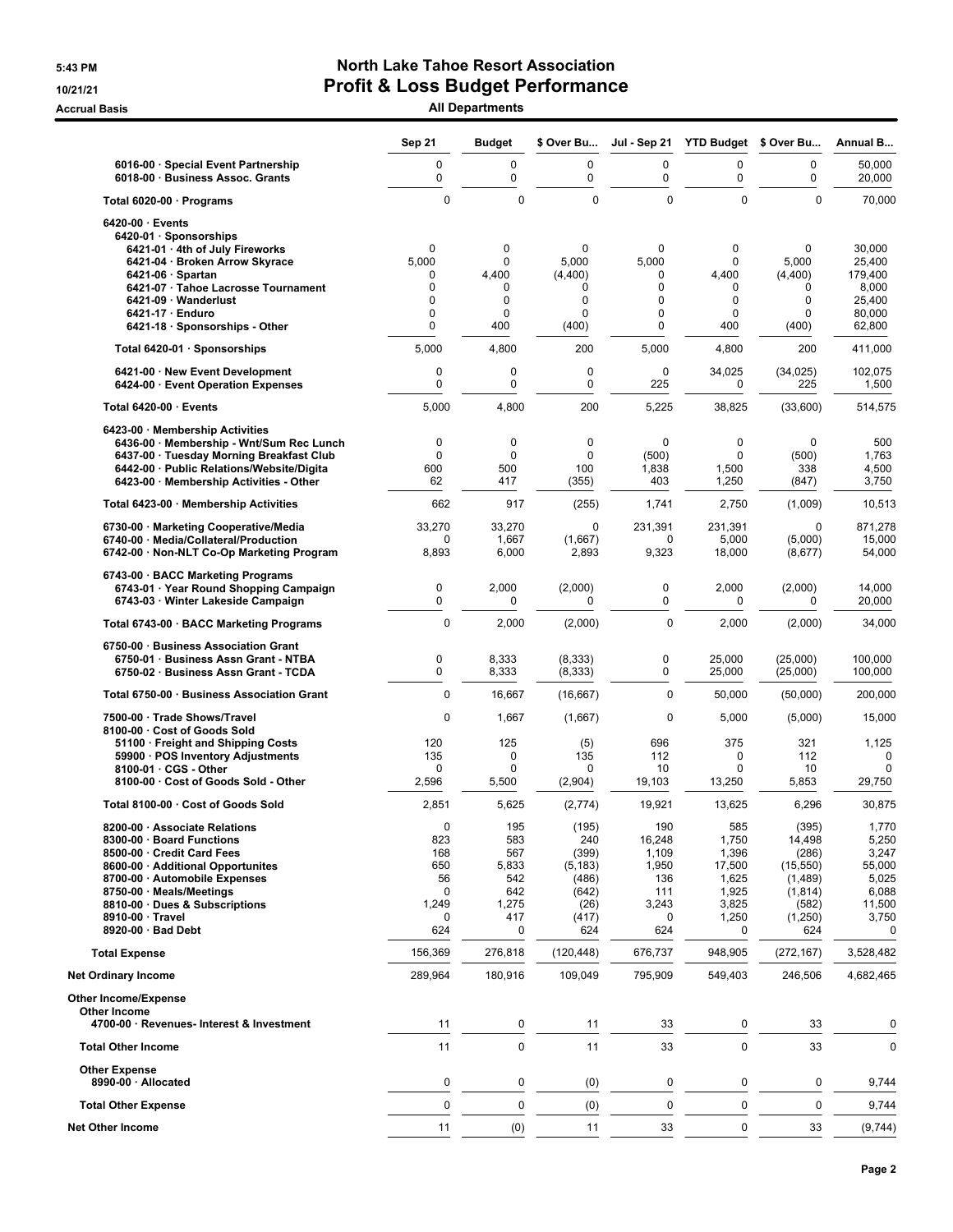## **5:43 PM North Lake Tahoe Resort Association 10/21/21 Profit & Loss Budget Performance**

**Accrual Basis All Departments**

|                                                                                | <b>Sep 21</b>     | <b>Budget</b>     | \$ Over Bu        | Jul - Sep 21   | <b>YTD Budget</b>  | \$ Over Bu         | Annual B          |
|--------------------------------------------------------------------------------|-------------------|-------------------|-------------------|----------------|--------------------|--------------------|-------------------|
| 6016-00 · Special Event Partnership<br>6018-00 · Business Assoc. Grants        | 0<br>0            | 0<br>0            | $\mathbf 0$<br>0  | 0<br>0         | 0<br>0             | 0<br>0             | 50,000<br>20,000  |
| Total 6020-00 · Programs                                                       | $\mathbf 0$       | $\Omega$          | $\Omega$          | $\mathbf 0$    | $\Omega$           | $\Omega$           | 70,000            |
| $6420-00 \cdot$ Events<br>6420-01 · Sponsorships                               |                   |                   |                   |                |                    |                    |                   |
| 6421-01 · 4th of July Fireworks                                                | 0                 | $\mathbf{0}$      | $\mathbf 0$       | 0              | 0                  | $\mathbf 0$        | 30,000            |
| 6421-04 · Broken Arrow Skyrace<br>$6421-06 \cdot$ Spartan                      | 5,000<br>0        | $\Omega$<br>4,400 | 5.000<br>(4,400)  | 5,000<br>0     | 0<br>4,400         | 5.000<br>(4,400)   | 25,400<br>179,400 |
| 6421-07 · Tahoe Lacrosse Tournament                                            | 0                 | 0                 | 0                 | 0              | 0                  | 0                  | 8,000             |
| 6421-09 · Wanderlust                                                           | 0                 | $\mathbf 0$       | 0                 | 0              | 0                  | $\mathbf 0$        | 25,400            |
| $6421-17 \cdot$ Enduro                                                         | 0<br>0            | $\mathbf 0$       | 0                 | 0<br>0         | 0                  | $\mathbf 0$        | 80,000            |
| 6421-18 · Sponsorships - Other<br>Total 6420-01 · Sponsorships                 | 5,000             | 400<br>4,800      | (400)<br>200      | 5,000          | 400<br>4,800       | (400)<br>200       | 62,800<br>411,000 |
| 6421-00 · New Event Development                                                | 0                 | $\mathbf 0$       | $\mathbf 0$       | 0              | 34,025             | (34, 025)          | 102,075           |
| 6424-00 · Event Operation Expenses                                             | 0                 | $\mathbf 0$       | 0                 | 225            | 0                  | 225                | 1,500             |
| Total 6420-00 · Events                                                         | 5,000             | 4,800             | 200               | 5,225          | 38,825             | (33,600)           | 514,575           |
| 6423-00 · Membership Activities<br>6436-00 · Membership - Wnt/Sum Rec Lunch    | 0                 | 0                 | 0                 | 0              | $\mathbf 0$        | $\mathbf 0$        | 500               |
| 6437-00 · Tuesday Morning Breakfast Club                                       | $\mathbf 0$       | $\mathbf 0$       | $\mathbf 0$       | (500)          | $\mathbf 0$        | (500)              | 1,763             |
| 6442-00 · Public Relations/Website/Digita                                      | 600               | 500               | 100               | 1,838          | 1,500              | 338                | 4,500             |
| 6423-00 · Membership Activities - Other                                        | 62                | 417               | (355)             | 403            | 1,250              | (847)              | 3,750             |
| Total 6423-00 · Membership Activities                                          | 662               | 917               | (255)             | 1,741          | 2,750              | (1,009)            | 10,513            |
| 6730-00 · Marketing Cooperative/Media<br>6740-00 · Media/Collateral/Production | 33,270<br>0       | 33,270<br>1,667   | 0<br>(1,667)      | 231,391<br>0   | 231,391<br>5,000   | 0<br>(5,000)       | 871,278<br>15,000 |
| 6742-00 · Non-NLT Co-Op Marketing Program                                      | 8,893             | 6,000             | 2,893             | 9,323          | 18,000             | (8,677)            | 54,000            |
| 6743-00 · BACC Marketing Programs<br>6743-01 · Year Round Shopping Campaign    | 0                 | 2,000             | (2,000)           | 0              | 2,000              | (2,000)            | 14,000            |
| 6743-03 · Winter Lakeside Campaign                                             | 0                 | $\Omega$          | $\Omega$          | 0              | $\Omega$           | 0                  | 20,000            |
| Total 6743-00 · BACC Marketing Programs                                        | $\mathbf 0$       | 2,000             | (2,000)           | $\mathbf 0$    | 2,000              | (2,000)            | 34,000            |
| 6750-00 · Business Association Grant<br>6750-01 · Business Assn Grant - NTBA   | 0                 | 8,333             | (8, 333)          | 0              | 25,000             | (25,000)           | 100,000           |
| 6750-02 · Business Assn Grant - TCDA                                           | 0                 | 8,333             | (8, 333)          | 0              | 25,000             | (25,000)           | 100,000           |
| Total 6750-00 · Business Association Grant                                     | $\mathbf 0$       | 16,667            | (16, 667)         | 0              | 50,000             | (50,000)           | 200,000           |
| 7500-00 · Trade Shows/Travel<br>8100-00 · Cost of Goods Sold                   | $\mathbf 0$       | 1,667             | (1,667)           | $\mathbf 0$    | 5,000              | (5,000)            | 15,000            |
| 51100 · Freight and Shipping Costs                                             | 120               | 125               | (5)               | 696            | 375                | 321                | 1,125             |
| 59900 · POS Inventory Adjustments                                              | 135               | $\mathbf 0$       | 135               | 112            | 0                  | 112                | 0                 |
| 8100-01 · CGS - Other<br>8100-00 · Cost of Goods Sold - Other                  | $\Omega$<br>2,596 | $\Omega$<br>5,500 | 0<br>(2,904)      | 10<br>19,103   | $\Omega$<br>13,250 | 10<br>5,853        | 0<br>29,750       |
| Total 8100-00 · Cost of Goods Sold                                             | 2,851             | 5,625             | (2,774)           | 19,921         | 13,625             | 6,296              | 30,875            |
| 8200-00 · Associate Relations                                                  | $\mathbf 0$       | 195               | (195)             | 190            | 585                | (395)              | 1,770             |
| 8300-00 · Board Functions                                                      | 823               | 583               | 240               | 16,248         | 1,750              | 14,498             | 5,250             |
| 8500-00 · Credit Card Fees<br>8600-00 · Additional Opportunites                | 168<br>650        | 567<br>5,833      | (399)<br>(5, 183) | 1,109<br>1,950 | 1,396<br>17,500    | (286)<br>(15, 550) | 3,247<br>55,000   |
| 8700-00 · Automobile Expenses                                                  | 56                | 542               | (486)             | 136            | 1,625              | (1,489)            | 5,025             |
| 8750-00 · Meals/Meetings                                                       | $\mathbf 0$       | 642               | (642)             | 111            | 1,925              | (1, 814)           | 6,088             |
| 8810-00 · Dues & Subscriptions                                                 | 1,249             | 1,275             | (26)              | 3,243          | 3,825              | (582)              | 11,500            |
| 8910-00 Travel<br>8920-00 · Bad Debt                                           | 0<br>624          | 417<br>0          | (417)<br>624      | 0<br>624       | 1,250<br>0         | (1,250)<br>624     | 3,750<br>0        |
| <b>Total Expense</b>                                                           | 156,369           | 276,818           | (120, 448)        | 676,737        | 948,905            | (272, 167)         | 3,528,482         |
| <b>Net Ordinary Income</b>                                                     | 289,964           | 180,916           | 109,049           | 795,909        | 549,403            | 246,506            | 4,682,465         |
| <b>Other Income/Expense</b>                                                    |                   |                   |                   |                |                    |                    |                   |
| Other Income<br>4700-00 · Revenues- Interest & Investment                      | 11                | 0                 | 11                | 33             | 0                  | 33                 | 0                 |
| <b>Total Other Income</b>                                                      | 11                | $\mathbf 0$       | 11                | 33             | 0                  | 33                 | 0                 |
| <b>Other Expense</b><br>8990-00 · Allocated                                    | $\pmb{0}$         | 0                 | (0)               | 0              | 0                  | 0                  | 9,744             |
| <b>Total Other Expense</b>                                                     | $\mathbf 0$       | $\mathbf 0$       | (0)               | $\pmb{0}$      | 0                  | $\mathbf 0$        | 9,744             |
| <b>Net Other Income</b>                                                        | 11                | (0)               | 11                | 33             | 0                  | 33                 | (9,744)           |
|                                                                                |                   |                   |                   |                |                    |                    |                   |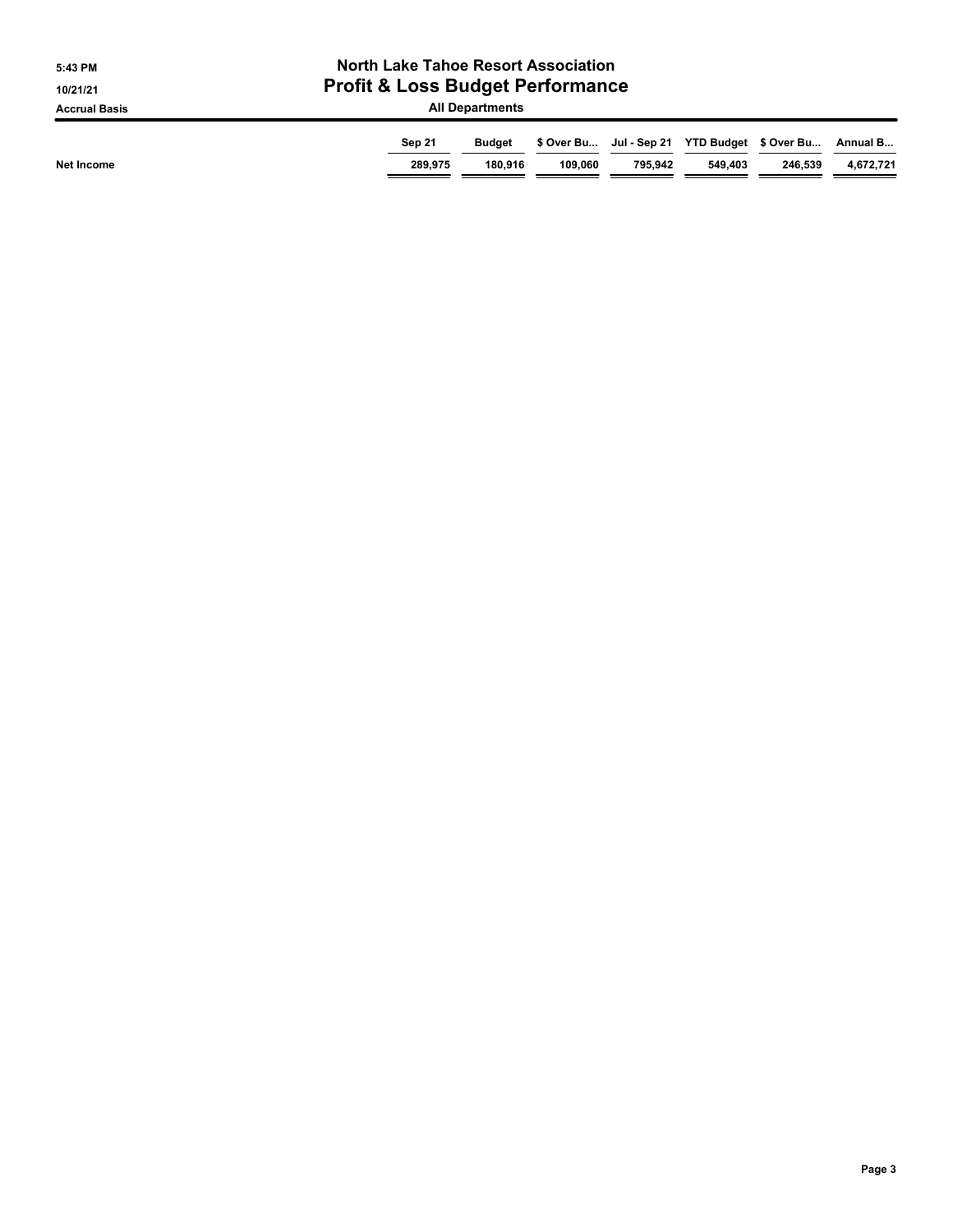| 5:43 PM              | <b>North Lake Tahoe Resort Association</b>  |                          |         |                                                          |         |         |                       |  |  |
|----------------------|---------------------------------------------|--------------------------|---------|----------------------------------------------------------|---------|---------|-----------------------|--|--|
| 10/21/21             | <b>Profit &amp; Loss Budget Performance</b> |                          |         |                                                          |         |         |                       |  |  |
| <b>Accrual Basis</b> | <b>All Departments</b>                      |                          |         |                                                          |         |         |                       |  |  |
| Net Income           | Sep 21<br>289,975                           | <b>Budget</b><br>180.916 | 109.060 | \$ Over Bu Jul - Sep 21 YTD Budget \$ Over Bu<br>795.942 | 549.403 | 246.539 | Annual B<br>4,672,721 |  |  |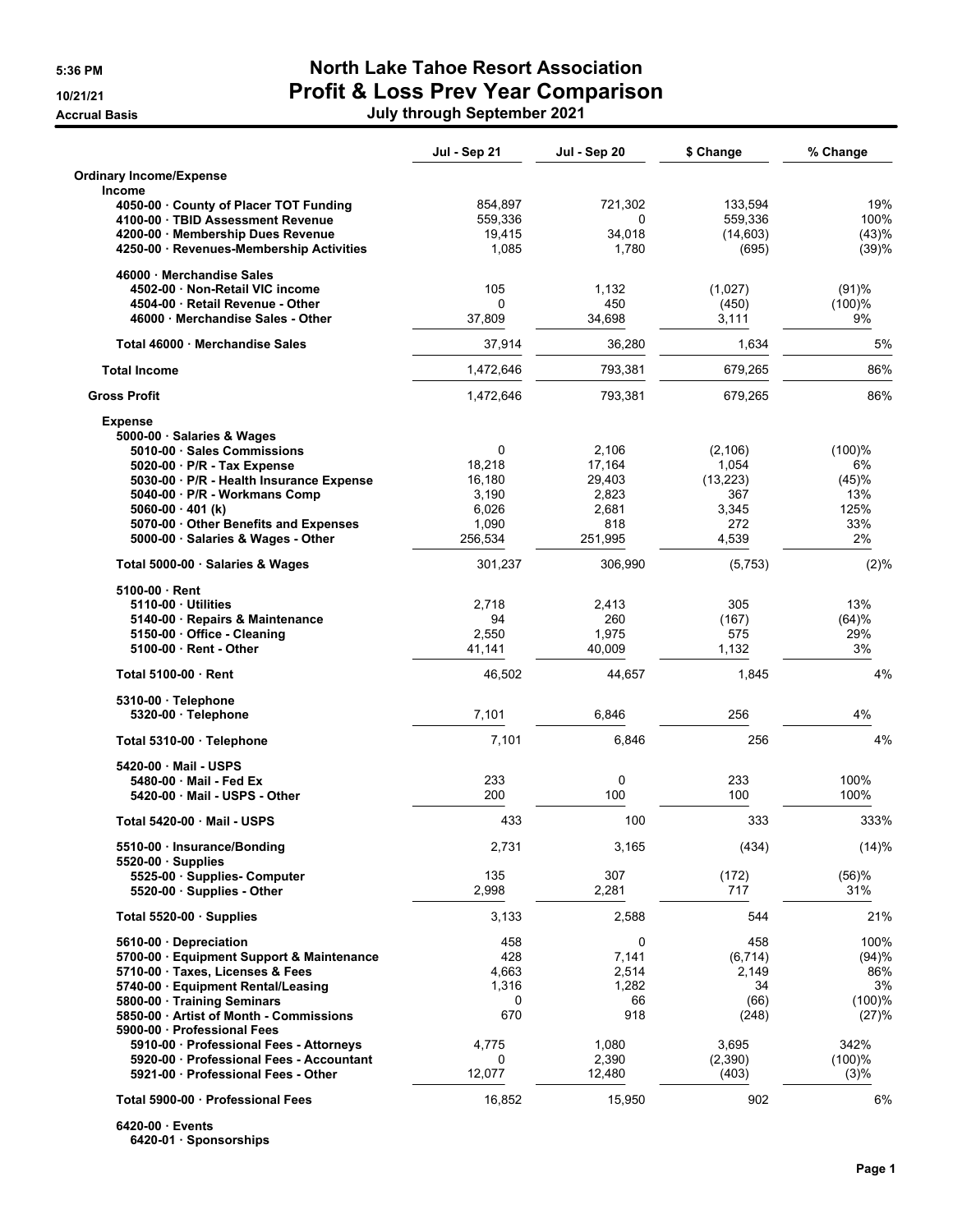## **5:36 PM North Lake Tahoe Resort Association 10/21/21 Profit & Loss Prev Year Comparison Accrual Basis July through September 2021**

|                                                                             | Jul - Sep 21     | Jul - Sep 20   | \$ Change    | % Change  |
|-----------------------------------------------------------------------------|------------------|----------------|--------------|-----------|
| <b>Ordinary Income/Expense</b>                                              |                  |                |              |           |
| Income<br>4050-00 County of Placer TOT Funding                              | 854,897          | 721,302        | 133,594      | 19%       |
| 4100-00 · TBID Assessment Revenue                                           | 559,336          | 0              | 559,336      | 100%      |
| 4200-00 Membership Dues Revenue                                             | 19,415           | 34.018         | (14, 603)    | (43)%     |
| 4250-00 · Revenues-Membership Activities                                    | 1,085            | 1,780          | (695)        | (39)%     |
| 46000 Merchandise Sales                                                     |                  |                |              |           |
| 4502-00 Non-Retail VIC income                                               | 105              | 1,132          | (1,027)      | (91)%     |
| 4504-00 Retail Revenue - Other                                              | 0                | 450            | (450)        | (100)%    |
| 46000 Merchandise Sales - Other                                             | 37,809           | 34,698         | 3,111        | 9%        |
| Total 46000 Merchandise Sales                                               | 37,914           | 36,280         | 1,634        | 5%        |
| <b>Total Income</b>                                                         | 1,472,646        | 793,381        | 679,265      | 86%       |
| <b>Gross Profit</b>                                                         | 1,472,646        | 793,381        | 679,265      | 86%       |
| <b>Expense</b>                                                              |                  |                |              |           |
| 5000-00 · Salaries & Wages                                                  |                  |                |              |           |
| 5010-00 Sales Commissions                                                   | 0                | 2.106          | (2, 106)     | (100)%    |
| 5020-00 · P/R - Tax Expense                                                 | 18,218           | 17,164         | 1,054        | 6%        |
| 5030-00 · P/R - Health Insurance Expense                                    | 16,180           | 29,403         | (13, 223)    | (45)%     |
| 5040-00 P/R - Workmans Comp                                                 | 3,190            | 2,823          | 367          | 13%       |
| $5060-00 \cdot 401$ (k)                                                     | 6,026            | 2,681          | 3,345        | 125%      |
| 5070-00 · Other Benefits and Expenses<br>5000-00 · Salaries & Wages - Other | 1,090<br>256,534 | 818<br>251,995 | 272<br>4,539 | 33%<br>2% |
| Total 5000-00 · Salaries & Wages                                            | 301,237          | 306,990        | (5,753)      | (2)%      |
| 5100-00 Rent                                                                |                  |                |              |           |
| 5110-00 Utilities                                                           | 2,718            | 2,413          | 305          | 13%       |
| 5140-00 · Repairs & Maintenance                                             | 94               | 260            | (167)        | (64)%     |
| 5150-00 Office - Cleaning                                                   | 2,550            | 1,975          | 575          | 29%       |
| 5100-00 Rent - Other                                                        | 41,141           | 40,009         | 1,132        | 3%        |
| Total 5100-00 Rent                                                          | 46,502           | 44,657         | 1,845        | 4%        |
| 5310-00 Telephone                                                           |                  |                |              |           |
| 5320-00 · Telephone                                                         | 7,101            | 6,846          | 256          | 4%        |
| Total 5310-00 · Telephone                                                   | 7,101            | 6,846          | 256          | 4%        |
| 5420-00 Mail - USPS                                                         |                  |                |              |           |
| 5480-00 Mail - Fed Ex                                                       | 233              | 0              | 233          | 100%      |
| 5420-00 Mail - USPS - Other                                                 | 200              | 100            | 100          | 100%      |
| Total 5420-00 Mail - USPS                                                   | 433              | 100            | 333          | 333%      |
| 5510-00 · Insurance/Bonding<br>5520-00 Supplies                             | 2,731            | 3,165          | (434)        | (14)%     |
| 5525-00 · Supplies- Computer                                                | 135              | 307            | (172)        | (56)%     |
| 5520-00 · Supplies - Other                                                  | 2,998            | 2,281          | 717          | 31%       |
| Total 5520-00 Supplies                                                      | 3,133            | 2,588          | 544          | 21%       |
| 5610-00 Depreciation                                                        | 458              | 0              | 458          | 100%      |
| 5700-00 · Equipment Support & Maintenance                                   | 428              | 7,141          | (6, 714)     | (94)%     |
| 5710-00 · Taxes, Licenses & Fees                                            | 4,663            | 2,514          | 2,149        | 86%       |
| 5740-00 · Equipment Rental/Leasing                                          | 1,316            | 1,282          | 34           | 3%        |
| 5800-00 · Training Seminars                                                 | 0                | 66             | (66)         | (100)%    |
| 5850-00 Artist of Month - Commissions<br>5900-00 Professional Fees          | 670              | 918            | (248)        | (27)%     |
| 5910-00 · Professional Fees - Attorneys                                     | 4,775            | 1,080          | 3,695        | 342%      |
| 5920-00 Professional Fees - Accountant                                      | 0                | 2,390          | (2,390)      | (100)%    |
| 5921-00 Professional Fees - Other                                           | 12,077           | 12,480         | (403)        | (3)%      |
|                                                                             |                  |                |              |           |
| Total 5900-00 Professional Fees                                             | 16,852           | 15,950         | 902          | 6%        |

**6420-00 ꞏ Events 6420-01 ꞏ Sponsorships**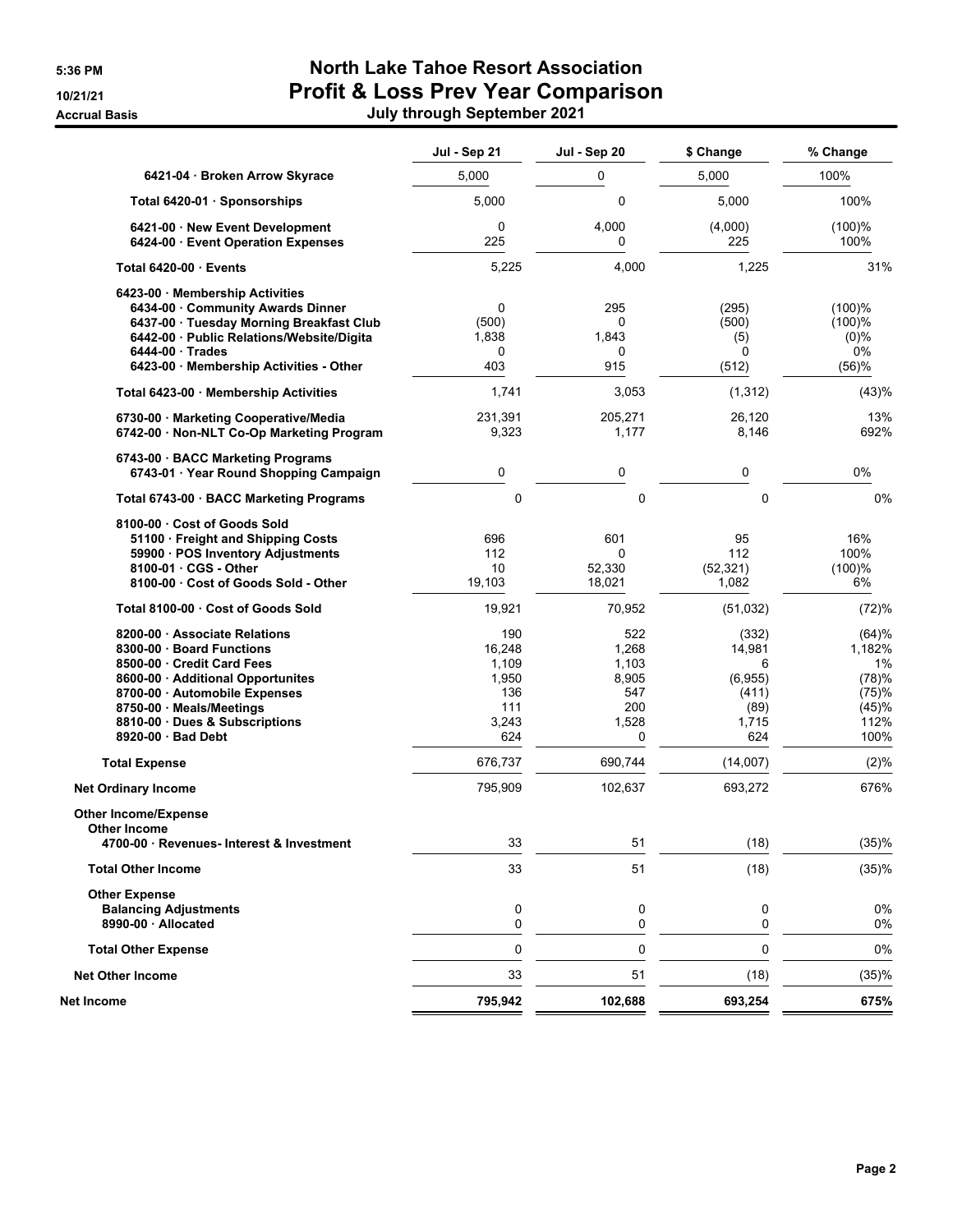## **5:36 PM North Lake Tahoe Resort Association 10/21/21 Profit & Loss Prev Year Comparison Accrual Basis July through September 2021**

|                                                                                                                                                                                                                                    | Jul - Sep 21                                                  | Jul - Sep 20                                               | \$ Change                                                        | % Change                                                         |
|------------------------------------------------------------------------------------------------------------------------------------------------------------------------------------------------------------------------------------|---------------------------------------------------------------|------------------------------------------------------------|------------------------------------------------------------------|------------------------------------------------------------------|
| 6421-04 Broken Arrow Skyrace                                                                                                                                                                                                       | 5,000                                                         | 0                                                          | 5,000                                                            | 100%                                                             |
| Total 6420-01 · Sponsorships                                                                                                                                                                                                       | 5,000                                                         | 0                                                          | 5,000                                                            | 100%                                                             |
| 6421-00 New Event Development<br>6424-00 Event Operation Expenses                                                                                                                                                                  | 0<br>225                                                      | 4,000<br>0                                                 | (4,000)<br>225                                                   | (100)%<br>100%                                                   |
| Total 6420-00 Events                                                                                                                                                                                                               | 5,225                                                         | 4,000                                                      | 1,225                                                            | 31%                                                              |
| 6423-00 Membership Activities<br>6434-00 Community Awards Dinner<br>6437-00 Tuesday Morning Breakfast Club<br>6442-00 · Public Relations/Website/Digita<br>$6444-00$ Trades<br>6423-00 Membership Activities - Other               | 0<br>(500)<br>1,838<br>0<br>403                               | 295<br>0<br>1,843<br>0<br>915                              | (295)<br>(500)<br>(5)<br>0<br>(512)                              | (100)%<br>(100)%<br>$(0)\%$<br>0%<br>(56)%                       |
| Total 6423-00 · Membership Activities                                                                                                                                                                                              | 1,741                                                         | 3,053                                                      | (1, 312)                                                         | (43)%                                                            |
| 6730-00 · Marketing Cooperative/Media<br>6742-00 · Non-NLT Co-Op Marketing Program                                                                                                                                                 | 231,391<br>9,323                                              | 205,271<br>1,177                                           | 26,120<br>8,146                                                  | 13%<br>692%                                                      |
| 6743-00 BACC Marketing Programs<br>6743-01 · Year Round Shopping Campaign                                                                                                                                                          | 0                                                             | 0                                                          | 0                                                                | 0%                                                               |
| Total 6743-00 · BACC Marketing Programs                                                                                                                                                                                            | 0                                                             | 0                                                          | 0                                                                | 0%                                                               |
| 8100-00 Cost of Goods Sold<br>51100 Freight and Shipping Costs<br>59900 · POS Inventory Adjustments<br>8100-01 · CGS - Other<br>8100-00 Cost of Goods Sold - Other                                                                 | 696<br>112<br>10<br>19,103                                    | 601<br>$\Omega$<br>52,330<br>18,021                        | 95<br>112<br>(52, 321)<br>1,082                                  | 16%<br>100%<br>(100)%<br>6%                                      |
| Total 8100-00 Cost of Goods Sold                                                                                                                                                                                                   | 19,921                                                        | 70,952                                                     | (51,032)                                                         | (72)%                                                            |
| 8200-00 Associate Relations<br>8300-00 Board Functions<br>8500-00 Credit Card Fees<br>8600-00 Additional Opportunites<br>8700-00 Automobile Expenses<br>8750-00 Meals/Meetings<br>8810-00 Dues & Subscriptions<br>8920-00 Bad Debt | 190<br>16,248<br>1,109<br>1,950<br>136<br>111<br>3,243<br>624 | 522<br>1,268<br>1,103<br>8,905<br>547<br>200<br>1,528<br>0 | (332)<br>14,981<br>6<br>(6,955)<br>(411)<br>(89)<br>1,715<br>624 | (64)%<br>1,182%<br>1%<br>(78)%<br>(75)%<br>(45)%<br>112%<br>100% |
| <b>Total Expense</b>                                                                                                                                                                                                               | 676,737                                                       | 690,744                                                    | (14,007)                                                         | (2)%                                                             |
| <b>Net Ordinary Income</b>                                                                                                                                                                                                         | 795,909                                                       | 102,637                                                    | 693,272                                                          | 676%                                                             |
| <b>Other Income/Expense</b><br>Other Income                                                                                                                                                                                        |                                                               |                                                            |                                                                  |                                                                  |
| 4700-00 · Revenues- Interest & Investment                                                                                                                                                                                          | 33                                                            | 51                                                         | (18)                                                             | (35)%                                                            |
| <b>Total Other Income</b>                                                                                                                                                                                                          | 33                                                            | 51                                                         | (18)                                                             | (35)%                                                            |
| <b>Other Expense</b><br><b>Balancing Adjustments</b><br>8990-00 · Allocated                                                                                                                                                        | 0<br>0                                                        | 0<br>0                                                     | 0<br>0                                                           | 0%<br>0%                                                         |
| <b>Total Other Expense</b>                                                                                                                                                                                                         | 0                                                             | 0                                                          | 0                                                                | 0%                                                               |
| <b>Net Other Income</b>                                                                                                                                                                                                            | 33                                                            | 51                                                         | (18)                                                             | (35)%                                                            |
| Net Income                                                                                                                                                                                                                         | 795,942                                                       | 102,688                                                    | 693,254                                                          | 675%                                                             |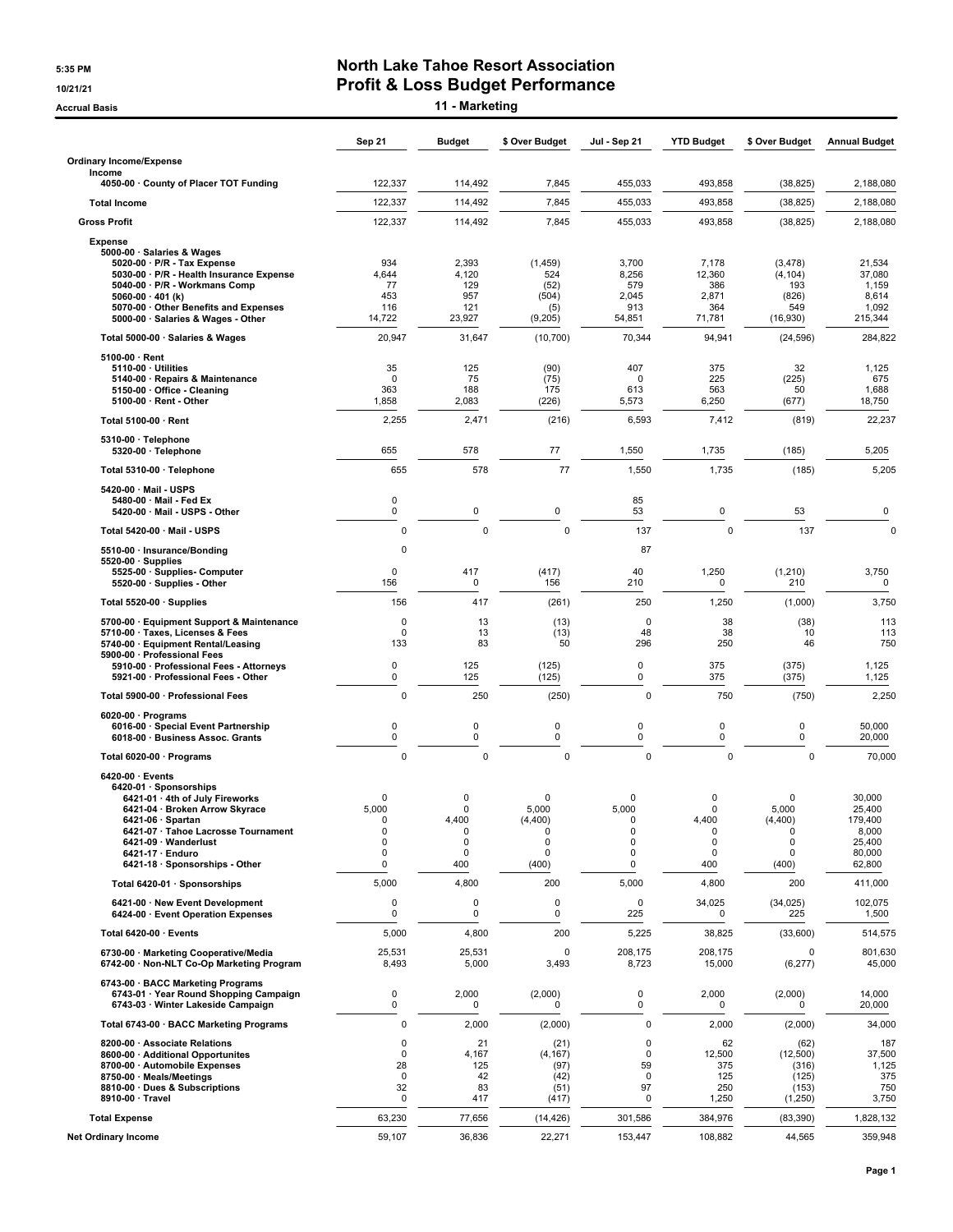#### **5:35 PM North Lake Tahoe Resort Association 10/21/21 Profit & Loss Budget Performance**

**Accrual Basis 11 - Marketing**

|                                                                                    | Sep 21             | <b>Budget</b>           | \$ Over Budget    | Jul - Sep 21       | <b>YTD Budget</b> | \$ Over Budget   | <b>Annual Budget</b> |
|------------------------------------------------------------------------------------|--------------------|-------------------------|-------------------|--------------------|-------------------|------------------|----------------------|
| <b>Ordinary Income/Expense</b>                                                     |                    |                         |                   |                    |                   |                  |                      |
| Income<br>4050-00 County of Placer TOT Funding                                     | 122,337            | 114,492                 | 7,845             | 455,033            | 493,858           | (38, 825)        | 2,188,080            |
| <b>Total Income</b>                                                                | 122,337            | 114,492                 | 7,845             | 455,033            | 493,858           | (38, 825)        | 2,188,080            |
| <b>Gross Profit</b>                                                                | 122,337            | 114,492                 | 7,845             | 455,033            | 493,858           | (38, 825)        | 2,188,080            |
| <b>Expense</b>                                                                     |                    |                         |                   |                    |                   |                  |                      |
| 5000-00 · Salaries & Wages<br>5020-00 · P/R - Tax Expense                          | 934                | 2,393                   | (1, 459)          | 3,700              | 7,178             | (3, 478)         | 21,534               |
| 5030-00 · P/R - Health Insurance Expense<br>5040-00 · P/R - Workmans Comp          | 4,644<br>77        | 4,120<br>129            | 524<br>(52)       | 8,256<br>579       | 12,360<br>386     | (4, 104)<br>193  | 37,080<br>1,159      |
| 5060-00 $\cdot$ 401 (k)                                                            | 453                | 957                     | (504)             | 2,045              | 2,871             | (826)            | 8,614                |
| 5070-00 · Other Benefits and Expenses<br>5000-00 · Salaries & Wages - Other        | 116<br>14,722      | 121<br>23,927           | (5)<br>(9,205)    | 913<br>54,851      | 364<br>71,781     | 549<br>(16,930)  | 1,092<br>215,344     |
| Total 5000-00 · Salaries & Wages                                                   | 20,947             | 31,647                  | (10, 700)         | 70,344             | 94,941            | (24, 596)        | 284,822              |
| $5100-00 \cdot$ Rent                                                               |                    |                         |                   |                    |                   |                  |                      |
| $5110-00 \cdot$ Utilities<br>5140-00 · Repairs & Maintenance                       | 35<br>0            | 125<br>75               | (90)<br>(75)      | 407<br>$\mathbf 0$ | 375<br>225        | 32<br>(225)      | 1,125<br>675         |
| 5150-00 · Office - Cleaning<br>$5100-00 \cdot$ Rent - Other                        | 363<br>1,858       | 188<br>2,083            | 175<br>(226)      | 613<br>5,573       | 563<br>6,250      | 50<br>(677)      | 1,688<br>18,750      |
| Total 5100-00 · Rent                                                               | 2,255              | 2,471                   | (216)             | 6,593              | 7,412             | (819)            | 22,237               |
| 5310-00 · Telephone                                                                |                    |                         |                   |                    |                   |                  |                      |
| 5320-00 · Telephone                                                                | 655                | 578                     | 77                | 1,550              | 1,735             | (185)            | 5,205                |
| Total 5310-00 · Telephone                                                          | 655                | 578                     | 77                | 1,550              | 1,735             | (185)            | 5,205                |
| 5420-00 Mail - USPS<br>5480-00 Mail Fed Ex                                         | 0                  |                         |                   | 85                 |                   |                  |                      |
| 5420-00 Mail USPS Other                                                            | $\pmb{0}$          | 0                       | 0                 | 53                 | 0                 | 53               | 0                    |
| Total 5420-00 · Mail - USPS                                                        | 0                  | $\mathbf 0$             | $\Omega$          | 137                | $\mathbf 0$       | 137              | $\Omega$             |
| 5510-00 · Insurance/Bonding<br>$5520-00 \cdot$ Supplies                            | 0                  |                         |                   | 87                 |                   |                  |                      |
| 5525-00 · Supplies- Computer<br>5520-00 · Supplies - Other                         | $\mathbf 0$<br>156 | 417<br>0                | (417)<br>156      | 40<br>210          | 1,250<br>0        | (1,210)<br>210   | 3,750<br>0           |
| Total 5520-00 · Supplies                                                           | 156                | 417                     | (261)             | 250                | 1,250             | (1,000)          | 3,750                |
| 5700-00 · Equipment Support & Maintenance                                          | 0                  | 13                      | (13)              | 0                  | 38                | (38)             | 113                  |
| 5710-00 · Taxes, Licenses & Fees<br>5740-00 · Equipment Rental/Leasing             | 0<br>133           | 13<br>83                | (13)<br>50        | 48<br>296          | 38<br>250         | 10<br>46         | 113<br>750           |
| 5900-00 · Professional Fees<br>5910-00 · Professional Fees - Attorneys             | 0                  | 125                     | (125)             | 0                  | 375               | (375)            | 1,125                |
| 5921-00 · Professional Fees - Other                                                | $\pmb{0}$          | 125                     | (125)             | 0                  | 375               | (375)            | 1,125                |
| Total 5900-00 · Professional Fees                                                  | 0                  | 250                     | (250)             | 0                  | 750               | (750)            | 2,250                |
| 6020-00 $\cdot$ Programs<br>6016-00 · Special Event Partnership                    | 0                  | 0                       | 0                 | 0                  | 0                 | 0                | 50,000               |
| 6018-00 · Business Assoc. Grants                                                   | $\pmb{0}$          | 0                       | 0                 | 0                  | 0                 | 0                | 20,000               |
| Total 6020-00 · Programs                                                           | 0                  | $\mathbf 0$             | $\mathbf 0$       | 0                  | $\mathbf 0$       | $\mathbf 0$      | 70,000               |
| $6420-00 \cdot$ Events<br>6420-01 · Sponsorships                                   |                    |                         |                   |                    |                   |                  |                      |
| 6421-01 · 4th of July Fireworks                                                    | 0                  | $\Omega$<br>$\mathbf 0$ | 0                 | $\mathbf 0$        | 0                 | 0                | 30,000               |
| 6421-04 · Broken Arrow Skyrace<br>6421-06 · Spartan                                | 5,000<br>$\Omega$  | 4,400                   | 5,000<br>(4,400)  | 5,000<br>$\Omega$  | 0<br>4,400        | 5,000<br>(4,400) | 25,400<br>179,400    |
| 6421-07 · Tahoe Lacrosse Tournament                                                | 0<br>0             | 0<br>$\mathbf 0$        | 0<br>0            | 0<br>$\mathbf 0$   | 0<br>0            | 0<br>0           | 8,000<br>25,400      |
| 6421-09 · Wanderlust<br>6421-17 · Enduro                                           | 0                  | 0                       | 0                 | 0                  | 0                 | 0                | 80,000               |
| 6421-18 · Sponsorships - Other                                                     | 0                  | 400                     | (400)             | $\pmb{0}$          | 400               | (400)            | 62,800               |
| Total 6420-01 · Sponsorships                                                       | 5,000              | 4,800                   | 200               | 5,000              | 4,800             | 200              | 411,000              |
| 6421-00 · New Event Development<br>6424-00 · Event Operation Expenses              | 0<br>0             | 0<br>0                  | 0<br>0            | $\mathsf 0$<br>225 | 34,025<br>0       | (34, 025)<br>225 | 102,075<br>1,500     |
| Total 6420-00 · Events                                                             | 5,000              | 4,800                   | 200               | 5,225              | 38,825            | (33,600)         | 514,575              |
| 6730-00 · Marketing Cooperative/Media<br>6742-00 · Non-NLT Co-Op Marketing Program | 25,531<br>8,493    | 25,531<br>5,000         | $\Omega$<br>3,493 | 208,175<br>8,723   | 208,175<br>15,000 | 0<br>(6,277)     | 801,630<br>45,000    |
| 6743-00 · BACC Marketing Programs                                                  | $\pmb{0}$          | 2,000                   | (2,000)           | 0                  | 2,000             | (2,000)          | 14,000               |
| 6743-01 · Year Round Shopping Campaign<br>6743-03 · Winter Lakeside Campaign       | $\pmb{0}$          | 0                       | $\Omega$          | $\mathbf 0$        | 0                 | <sup>0</sup>     | 20,000               |
| Total 6743-00 · BACC Marketing Programs                                            | 0                  | 2,000                   | (2,000)           | 0                  | 2,000             | (2,000)          | 34,000               |
| 8200-00 · Associate Relations<br>8600-00 · Additional Opportunites                 | 0<br>0             | 21<br>4,167             | (21)<br>(4, 167)  | 0<br>0             | 62<br>12,500      | (62)<br>(12,500) | 187<br>37,500        |
| 8700-00 · Automobile Expenses                                                      | 28                 | 125                     | (97)              | 59                 | 375               | (316)            | 1,125                |
| 8750-00 · Meals/Meetings                                                           | $\mathbf 0$<br>32  | 42<br>83                | (42)              | 0<br>97            | 125<br>250        | (125)            | 375<br>750           |
| 8810-00 · Dues & Subscriptions<br>8910-00 · Travel                                 | 0                  | 417                     | (51)<br>(417)     | 0                  | 1,250             | (153)<br>(1,250) | 3,750                |
| <b>Total Expense</b>                                                               | 63,230             | 77,656                  | (14, 426)         | 301,586            | 384,976           | (83, 390)        | 1,828,132            |
| <b>Net Ordinary Income</b>                                                         | 59,107             | 36,836                  | 22,271            | 153,447            | 108,882           | 44,565           | 359,948              |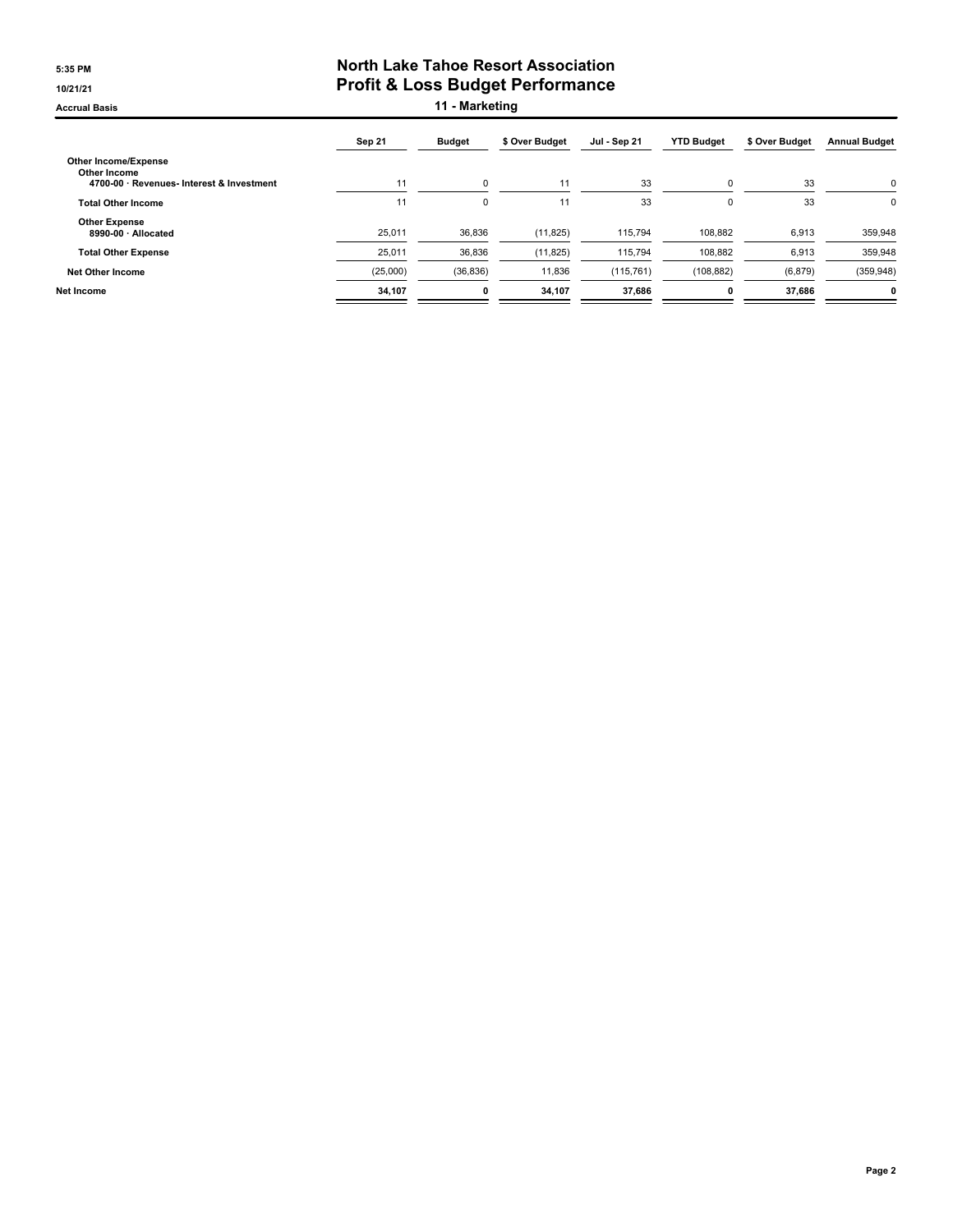#### **5:35 PM North Lake Tahoe Resort Association 10/21/21 Profit & Loss Budget Performance**

**Accrual Basis 11 - Marketing**

|                                                                                          | Sep 21   | <b>Budget</b> | \$ Over Budget | Jul - Sep 21 | <b>YTD Budget</b> | \$ Over Budget | <b>Annual Budget</b> |
|------------------------------------------------------------------------------------------|----------|---------------|----------------|--------------|-------------------|----------------|----------------------|
| <b>Other Income/Expense</b><br>Other Income<br>4700-00 · Revenues- Interest & Investment | 11       | 0             | 11             | 33           | $\Omega$          | 33             | $\Omega$             |
| <b>Total Other Income</b>                                                                | 11       | 0             | 11             | 33           | $\Omega$          | 33             | 0                    |
| <b>Other Expense</b><br>8990-00 · Allocated                                              | 25,011   | 36,836        | (11, 825)      | 115,794      | 108,882           | 6,913          | 359,948              |
| <b>Total Other Expense</b>                                                               | 25,011   | 36,836        | (11, 825)      | 115,794      | 108,882           | 6,913          | 359,948              |
| <b>Net Other Income</b>                                                                  | (25,000) | (36, 836)     | 11,836         | (115, 761)   | (108, 882)        | (6, 879)       | (359, 948)           |
| Net Income                                                                               | 34,107   | 0             | 34,107         | 37.686       |                   | 37.686         | <sup>0</sup>         |
|                                                                                          |          |               |                |              |                   |                |                      |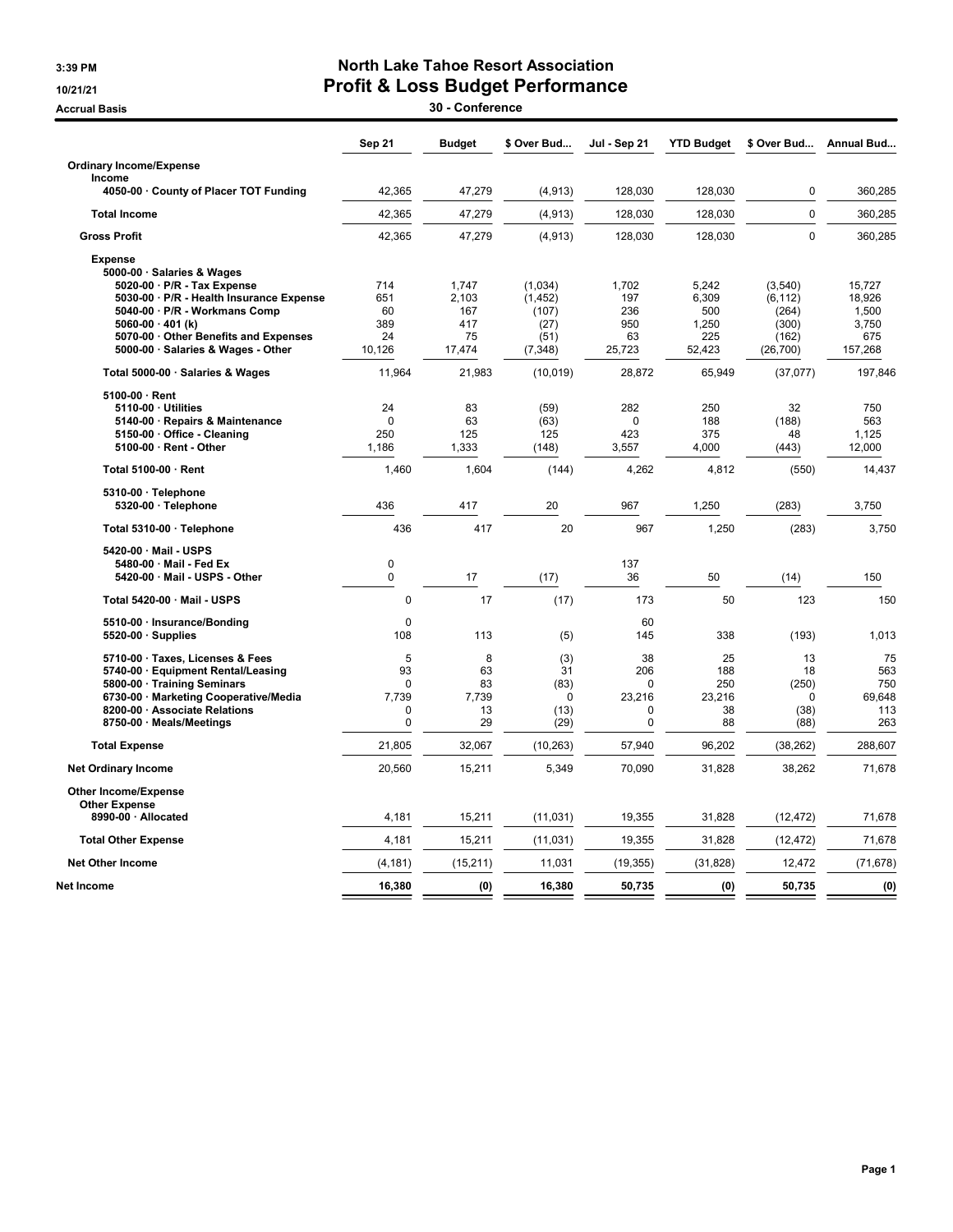### 3:39 PM North Lake Tahoe Resort Association 10/21/21 Profit & Loss Budget Performance

external Basis and the set of the set of the set of the set of the set of the set of the set of the set of the set of the set of the set of the set of the set of the set of the set of the set of the set of the set of the s

|                                                                         | Sep 21      | <b>Budget</b>  | \$ Over Bud         | Jul - Sep 21 | <b>YTD Budget</b> | \$ Over Bud         | Annual Bud       |
|-------------------------------------------------------------------------|-------------|----------------|---------------------|--------------|-------------------|---------------------|------------------|
| <b>Ordinary Income/Expense</b>                                          |             |                |                     |              |                   |                     |                  |
| Income                                                                  |             |                |                     |              |                   |                     |                  |
| 4050-00 County of Placer TOT Funding                                    | 42,365      | 47,279         | (4, 913)            | 128,030      | 128,030           | 0                   | 360,285          |
| <b>Total Income</b>                                                     | 42,365      | 47,279         | (4, 913)            | 128,030      | 128.030           | $\overline{0}$      | 360,285          |
| <b>Gross Profit</b>                                                     | 42,365      | 47,279         | (4, 913)            | 128,030      | 128,030           | 0                   | 360,285          |
| <b>Expense</b>                                                          |             |                |                     |              |                   |                     |                  |
| 5000-00 · Salaries & Wages                                              |             |                |                     |              |                   |                     |                  |
| 5020-00 · P/R - Tax Expense<br>5030-00 · P/R - Health Insurance Expense | 714<br>651  | 1,747<br>2,103 | (1,034)<br>(1, 452) | 1,702<br>197 | 5,242<br>6,309    | (3,540)<br>(6, 112) | 15,727<br>18,926 |
| 5040-00 · P/R - Workmans Comp                                           | 60          | 167            | (107)               | 236          | 500               | (264)               | 1,500            |
| 5060-00 $\cdot$ 401 (k)                                                 | 389         | 417            | (27)                | 950          | 1,250             | (300)               | 3,750            |
| 5070-00 · Other Benefits and Expenses                                   | 24          | 75             | (51)                | 63           | 225               | (162)               | 675              |
| 5000-00 · Salaries & Wages - Other                                      | 10,126      | 17,474         | (7, 348)            | 25,723       | 52,423            | (26, 700)           | 157,268          |
| Total 5000-00 · Salaries & Wages                                        | 11,964      | 21,983         | (10, 019)           | 28,872       | 65,949            | (37,077)            | 197,846          |
| 5100-00 · Rent                                                          |             |                |                     |              |                   |                     |                  |
| 5110-00 · Utilities                                                     | 24          | 83             | (59)                | 282          | 250               | 32                  | 750              |
| 5140-00 · Repairs & Maintenance                                         | $\Omega$    | 63             | (63)                | $\Omega$     | 188               | (188)               | 563              |
| 5150-00 · Office - Cleaning                                             | 250         | 125            | 125                 | 423          | 375               | 48                  | 1,125            |
| 5100-00 · Rent - Other                                                  | 1.186       | 1,333          | (148)               | 3,557        | 4,000             | (443)               | 12,000           |
| Total 5100-00 · Rent                                                    | 1,460       | 1,604          | (144)               | 4,262        | 4,812             | (550)               | 14,437           |
| 5310-00 · Telephone                                                     |             |                |                     |              |                   |                     |                  |
| 5320-00 · Telephone                                                     | 436         | 417            | 20                  | 967          | 1,250             | (283)               | 3,750            |
| Total 5310-00 · Telephone                                               | 436         | 417            | 20                  | 967          | 1,250             | (283)               | 3,750            |
| 5420-00 · Mail - USPS                                                   |             |                |                     |              |                   |                     |                  |
| 5480-00 · Mail - Fed Ex                                                 | 0           |                |                     | 137          |                   |                     |                  |
| 5420-00 · Mail - USPS - Other                                           | 0           | 17             | (17)                | 36           | 50                | (14)                | 150              |
| Total 5420-00 · Mail - USPS                                             | 0           | 17             | (17)                | 173          | 50                | 123                 | 150              |
| 5510-00 · Insurance/Bonding                                             | $\mathbf 0$ |                |                     | 60           |                   |                     |                  |
| $5520-00 \cdot$ Supplies                                                | 108         | 113            | (5)                 | 145          | 338               | (193)               | 1,013            |
| 5710-00 · Taxes, Licenses & Fees                                        | 5           | 8              | (3)                 | 38           | 25                | 13                  | 75               |
| 5740-00 · Equipment Rental/Leasing                                      | 93          | 63             | 31                  | 206          | 188               | 18                  | 563              |
| 5800-00 · Training Seminars                                             | $\Omega$    | 83             | (83)                | $\Omega$     | 250               | (250)               | 750              |
| 6730-00 · Marketing Cooperative/Media                                   | 7,739       | 7,739          | $\mathbf 0$         | 23,216       | 23,216            | $\mathbf 0$         | 69,648           |
| 8200-00 · Associate Relations                                           | $\mathbf 0$ | 13             | (13)                | $\mathbf{0}$ | 38                | (38)                | 113              |
| 8750-00 · Meals/Meetings                                                | $\mathbf 0$ | 29             | (29)                | $\mathbf 0$  | 88                | (88)                | 263              |
| <b>Total Expense</b>                                                    | 21,805      | 32,067         | (10, 263)           | 57,940       | 96,202            | (38, 262)           | 288,607          |
| <b>Net Ordinary Income</b>                                              | 20,560      | 15,211         | 5,349               | 70,090       | 31,828            | 38,262              | 71,678           |
| Other Income/Expense                                                    |             |                |                     |              |                   |                     |                  |
| <b>Other Expense</b><br>8990-00 · Allocated                             | 4,181       | 15,211         | (11, 031)           | 19,355       | 31,828            | (12, 472)           | 71,678           |
| <b>Total Other Expense</b>                                              | 4,181       | 15,211         | (11, 031)           | 19,355       | 31,828            | (12, 472)           | 71,678           |
| <b>Net Other Income</b>                                                 | (4, 181)    | (15, 211)      | 11,031              | (19, 355)    | (31, 828)         | 12,472              | (71, 678)        |
| Net Income                                                              | 16,380      | (0)            | 16,380              | 50,735       | (0)               | 50,735              | (0)              |
|                                                                         |             |                |                     |              |                   |                     |                  |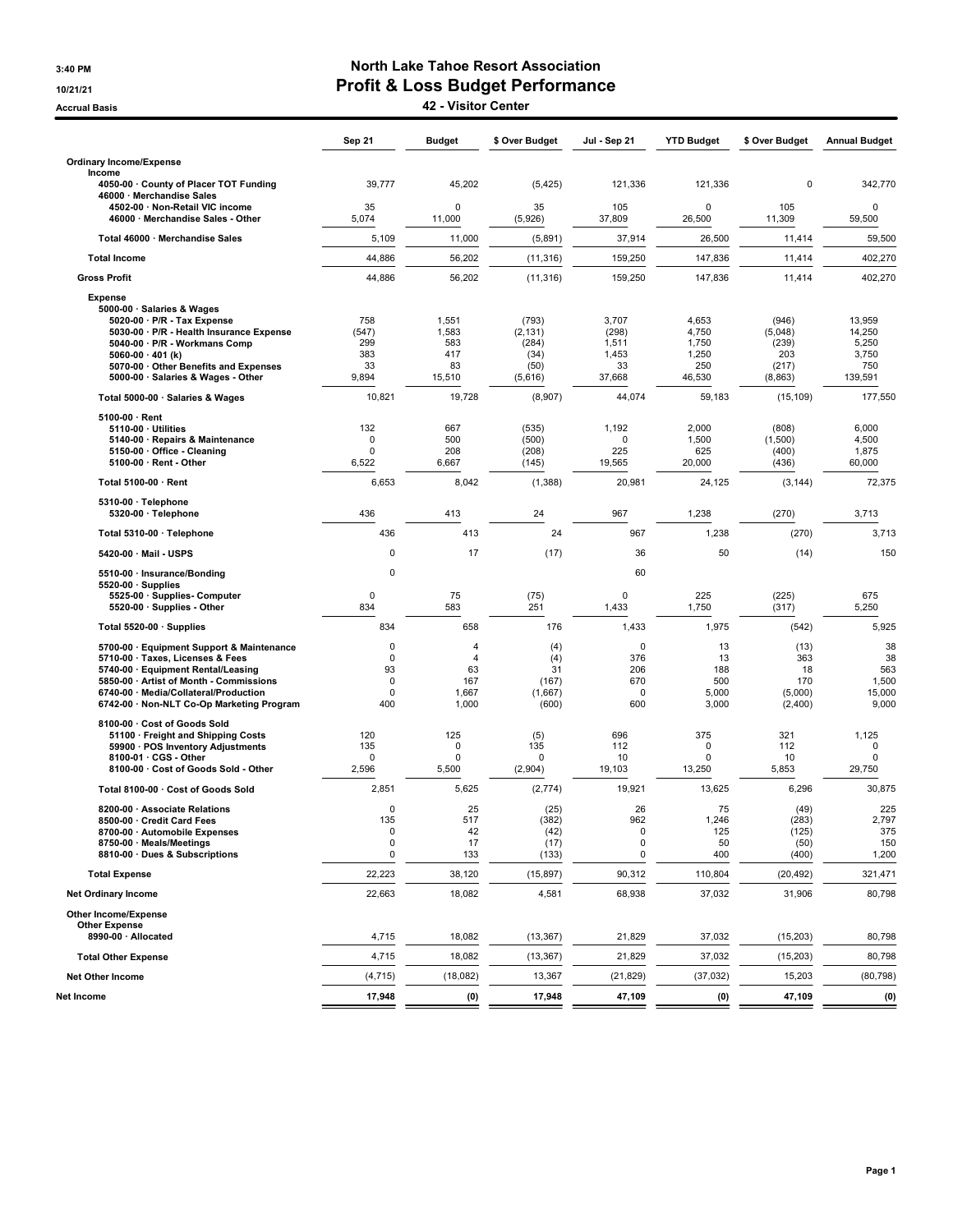### 3:40 PM North Lake Tahoe Resort Association 10/21/21 Profit & Loss Budget Performance

Accrual Basis 42 - Visitor Center

|                                                                                                                                                                                                                                                                  | Sep 21                                                   | <b>Budget</b>                                                   | \$ Over Budget                                        | Jul - Sep 21                                     | <b>YTD Budget</b>                                 | \$ Over Budget                                       | <b>Annual Budget</b>                                 |
|------------------------------------------------------------------------------------------------------------------------------------------------------------------------------------------------------------------------------------------------------------------|----------------------------------------------------------|-----------------------------------------------------------------|-------------------------------------------------------|--------------------------------------------------|---------------------------------------------------|------------------------------------------------------|------------------------------------------------------|
| <b>Ordinary Income/Expense</b>                                                                                                                                                                                                                                   |                                                          |                                                                 |                                                       |                                                  |                                                   |                                                      |                                                      |
| Income<br>4050-00 County of Placer TOT Funding<br>46000 · Merchandise Sales                                                                                                                                                                                      | 39,777                                                   | 45,202                                                          | (5, 425)                                              | 121,336                                          | 121,336                                           | 0                                                    | 342,770                                              |
| 4502-00 · Non-Retail VIC income<br>46000 · Merchandise Sales - Other                                                                                                                                                                                             | 35<br>5,074                                              | $\Omega$<br>11,000                                              | 35<br>(5,926)                                         | 105<br>37,809                                    | $\Omega$<br>26,500                                | 105<br>11,309                                        | $\mathbf 0$<br>59,500                                |
| Total 46000 · Merchandise Sales                                                                                                                                                                                                                                  | 5,109                                                    | 11,000                                                          | (5,891)                                               | 37,914                                           | 26,500                                            | 11,414                                               | 59,500                                               |
| <b>Total Income</b>                                                                                                                                                                                                                                              | 44,886                                                   | 56,202                                                          | (11, 316)                                             | 159,250                                          | 147,836                                           | 11,414                                               | 402,270                                              |
| <b>Gross Profit</b>                                                                                                                                                                                                                                              | 44,886                                                   | 56,202                                                          | (11, 316)                                             | 159,250                                          | 147,836                                           | 11,414                                               | 402,270                                              |
| <b>Expense</b><br>5000-00 · Salaries & Wages<br>5020-00 · P/R - Tax Expense<br>5030-00 · P/R - Health Insurance Expense<br>5040-00 · P/R - Workmans Comp<br>5060-00 $\cdot$ 401 (k)<br>5070-00 Other Benefits and Expenses<br>5000-00 · Salaries & Wages - Other | 758<br>(547)<br>299<br>383<br>33<br>9,894                | 1,551<br>1,583<br>583<br>417<br>83<br>15,510                    | (793)<br>(2, 131)<br>(284)<br>(34)<br>(50)<br>(5,616) | 3,707<br>(298)<br>1,511<br>1,453<br>33<br>37,668 | 4,653<br>4,750<br>1,750<br>1,250<br>250<br>46,530 | (946)<br>(5,048)<br>(239)<br>203<br>(217)<br>(8,863) | 13,959<br>14,250<br>5,250<br>3,750<br>750<br>139,591 |
| Total 5000-00 · Salaries & Wages                                                                                                                                                                                                                                 | 10,821                                                   | 19,728                                                          | (8,907)                                               | 44,074                                           | 59,183                                            | (15, 109)                                            | 177,550                                              |
| $5100-00 \cdot$ Rent<br>$5110-00 \cdot$ Utilities<br>5140-00 · Repairs & Maintenance<br>5150-00 · Office - Cleaning<br>5100-00 · Rent - Other                                                                                                                    | 132<br>0<br>0<br>6,522                                   | 667<br>500<br>208<br>6,667                                      | (535)<br>(500)<br>(208)<br>(145)                      | 1,192<br>0<br>225<br>19,565                      | 2,000<br>1,500<br>625<br>20,000                   | (808)<br>(1,500)<br>(400)<br>(436)                   | 6,000<br>4,500<br>1,875<br>60,000                    |
| Total 5100-00 · Rent                                                                                                                                                                                                                                             | 6,653                                                    | 8,042                                                           | (1,388)                                               | 20,981                                           | 24,125                                            | (3, 144)                                             | 72,375                                               |
| 5310-00 · Telephone<br>5320-00 · Telephone                                                                                                                                                                                                                       | 436                                                      | 413                                                             | 24                                                    | 967                                              | 1,238                                             | (270)                                                | 3,713                                                |
| Total 5310-00 · Telephone                                                                                                                                                                                                                                        | 436                                                      | 413                                                             | 24                                                    | 967                                              | 1,238                                             | (270)                                                | 3,713                                                |
| 5420-00 Mail USPS                                                                                                                                                                                                                                                | 0                                                        | 17                                                              | (17)                                                  | 36                                               | 50                                                | (14)                                                 | 150                                                  |
| 5510-00 · Insurance/Bonding<br>$5520-00 \cdot$ Supplies<br>5525-00 · Supplies- Computer<br>5520-00 · Supplies - Other                                                                                                                                            | 0<br>0<br>834                                            | 75<br>583                                                       | (75)<br>251                                           | 60<br>0<br>1,433                                 | 225<br>1,750                                      | (225)<br>(317)                                       | 675<br>5,250                                         |
| Total 5520-00 · Supplies                                                                                                                                                                                                                                         | 834                                                      | 658                                                             | 176                                                   | 1,433                                            | 1,975                                             | (542)                                                | 5,925                                                |
| 5700-00 · Equipment Support & Maintenance<br>5710-00 · Taxes, Licenses & Fees<br>5740-00 · Equipment Rental/Leasing<br>5850-00 · Artist of Month - Commissions<br>6740-00 · Media/Collateral/Production<br>6742-00 · Non-NLT Co-Op Marketing Program             | $\mathbf 0$<br>$\mathbf 0$<br>93<br>$\Omega$<br>0<br>400 | $\overline{4}$<br>$\overline{4}$<br>63<br>167<br>1,667<br>1,000 | (4)<br>(4)<br>31<br>(167)<br>(1,667)<br>(600)         | 0<br>376<br>206<br>670<br>0<br>600               | 13<br>13<br>188<br>500<br>5,000<br>3,000          | (13)<br>363<br>18<br>170<br>(5,000)<br>(2,400)       | 38<br>38<br>563<br>1,500<br>15,000<br>9,000          |
| 8100-00 · Cost of Goods Sold<br>51100 · Freight and Shipping Costs<br>59900 · POS Inventory Adjustments<br>8100-01 · CGS - Other<br>8100-00 · Cost of Goods Sold - Other                                                                                         | 120<br>135<br>0<br>2,596                                 | 125<br>0<br>$\Omega$<br>5,500                                   | (5)<br>135<br>0<br>(2,904)                            | 696<br>112<br>10<br>19,103                       | 375<br>$\Omega$<br>$\Omega$<br>13,250             | 321<br>112<br>10<br>5,853                            | 1,125<br>0<br>0<br>29,750                            |
| Total 8100-00 · Cost of Goods Sold                                                                                                                                                                                                                               | 2,851                                                    | 5,625                                                           | (2,774)                                               | 19,921                                           | 13,625                                            | 6,296                                                | 30,875                                               |
| 8200-00 · Associate Relations<br>8500-00 Credit Card Fees<br>8700-00 · Automobile Expenses<br>8750-00 · Meals/Meetings<br>8810-00 · Dues & Subscriptions                                                                                                         | 0<br>135<br>0<br>0<br>0                                  | 25<br>517<br>42<br>17<br>133                                    | (25)<br>(382)<br>(42)<br>(17)<br>(133)                | 26<br>962<br>$\pmb{0}$<br>$\mathbf 0$<br>0       | 75<br>1,246<br>125<br>50<br>400                   | (49)<br>(283)<br>(125)<br>(50)<br>(400)              | 225<br>2,797<br>375<br>150<br>1,200                  |
| <b>Total Expense</b>                                                                                                                                                                                                                                             | 22,223                                                   | 38,120                                                          | (15, 897)                                             | 90,312                                           | 110,804                                           | (20, 492)                                            | 321,471                                              |
| <b>Net Ordinary Income</b>                                                                                                                                                                                                                                       | 22,663                                                   | 18,082                                                          | 4,581                                                 | 68,938                                           | 37,032                                            | 31,906                                               | 80,798                                               |
| Other Income/Expense<br><b>Other Expense</b><br>8990-00 · Allocated                                                                                                                                                                                              | 4,715                                                    | 18,082                                                          | (13, 367)                                             | 21,829                                           | 37,032                                            | (15, 203)                                            | 80,798                                               |
| <b>Total Other Expense</b>                                                                                                                                                                                                                                       | 4,715                                                    | 18,082                                                          | (13, 367)                                             | 21,829                                           | 37,032                                            | (15, 203)                                            | 80,798                                               |
| <b>Net Other Income</b>                                                                                                                                                                                                                                          | (4, 715)                                                 | (18,082)                                                        | 13,367                                                | (21, 829)                                        | (37,032)                                          | 15,203                                               | (80, 798)                                            |
| Net Income                                                                                                                                                                                                                                                       | 17,948                                                   | (0)                                                             | 17,948                                                | 47,109                                           | (0)                                               | 47,109                                               | (0)                                                  |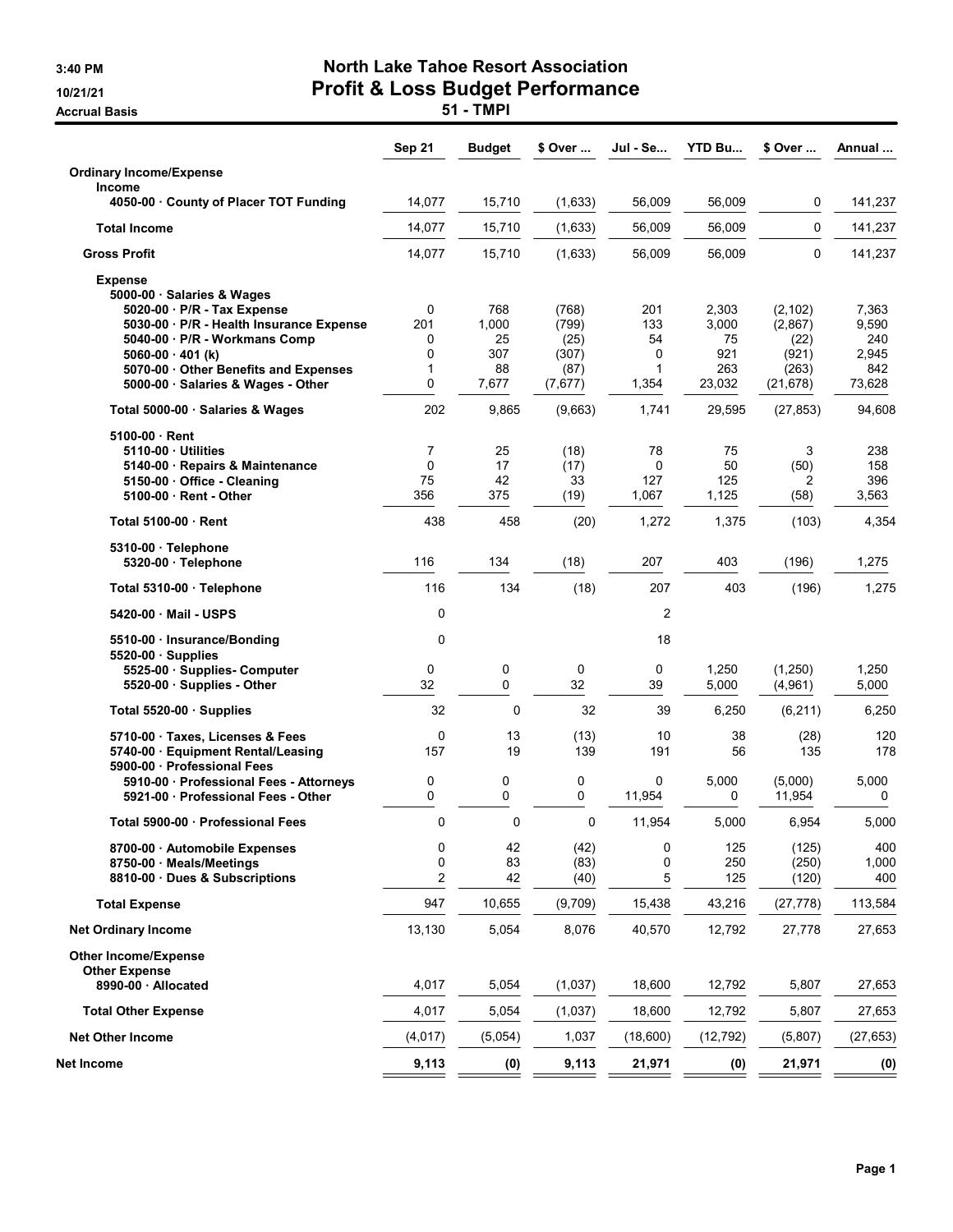Accrual Basis **Accrual Basis 51 - TMPI** 

## 3:40 PM North Lake Tahoe Resort Association 10/21/21 Profit & Loss Budget Performance

|                                                                                                                                                                                                                            | Sep 21                            | Budget                          | \$ Over                                 | Jul - Se                          | <b>YTD Bu</b>                      | \$ Over                                       | Annual                                |
|----------------------------------------------------------------------------------------------------------------------------------------------------------------------------------------------------------------------------|-----------------------------------|---------------------------------|-----------------------------------------|-----------------------------------|------------------------------------|-----------------------------------------------|---------------------------------------|
| <b>Ordinary Income/Expense</b>                                                                                                                                                                                             |                                   |                                 |                                         |                                   |                                    |                                               |                                       |
| <b>Income</b><br>4050-00 County of Placer TOT Funding                                                                                                                                                                      | 14,077                            | 15,710                          | (1,633)                                 | 56,009                            | 56,009                             | 0                                             | 141,237                               |
| <b>Total Income</b>                                                                                                                                                                                                        | 14,077                            | 15,710                          | (1,633)                                 | 56,009                            | 56,009                             | 0                                             | 141,237                               |
| <b>Gross Profit</b>                                                                                                                                                                                                        | 14,077                            | 15,710                          | (1,633)                                 | 56,009                            | 56,009                             | 0                                             | 141,237                               |
| <b>Expense</b><br>5000-00 · Salaries & Wages<br>5020-00 · P/R - Tax Expense<br>5030-00 · P/R - Health Insurance Expense<br>5040-00 · P/R - Workmans Comp<br>$5060-00 \cdot 401$ (k)<br>5070-00 Other Benefits and Expenses | 0<br>201<br>0<br>$\mathbf 0$<br>1 | 768<br>1,000<br>25<br>307<br>88 | (768)<br>(799)<br>(25)<br>(307)<br>(87) | 201<br>133<br>54<br>0<br>1        | 2,303<br>3,000<br>75<br>921<br>263 | (2, 102)<br>(2,867)<br>(22)<br>(921)<br>(263) | 7,363<br>9,590<br>240<br>2,945<br>842 |
| 5000-00 · Salaries & Wages - Other                                                                                                                                                                                         | 0                                 | 7,677                           | (7,677)                                 | 1,354                             | 23,032                             | (21, 678)                                     | 73,628                                |
| Total 5000-00 · Salaries & Wages                                                                                                                                                                                           | 202                               | 9,865                           | (9,663)                                 | 1,741                             | 29,595                             | (27, 853)                                     | 94,608                                |
| 5100-00 Rent<br>5110-00 Utilities<br>5140-00 · Repairs & Maintenance<br>5150-00 Office - Cleaning<br>5100-00 Rent - Other                                                                                                  | 7<br>$\mathbf 0$<br>75<br>356     | 25<br>17<br>42<br>375           | (18)<br>(17)<br>33<br>(19)              | 78<br>$\mathbf 0$<br>127<br>1,067 | 75<br>50<br>125<br>1,125           | 3<br>(50)<br>2<br>(58)                        | 238<br>158<br>396<br>3,563            |
| Total 5100-00 Rent                                                                                                                                                                                                         | 438                               | 458                             | (20)                                    | 1,272                             | 1,375                              | (103)                                         | 4,354                                 |
| 5310-00 · Telephone<br>5320-00 · Telephone                                                                                                                                                                                 | 116                               | 134                             | (18)                                    | 207                               | 403                                | (196)                                         | 1,275                                 |
| Total 5310-00 · Telephone                                                                                                                                                                                                  | 116                               | 134                             | (18)                                    | 207                               | 403                                | (196)                                         | 1,275                                 |
| 5420-00 Mail - USPS                                                                                                                                                                                                        | 0                                 |                                 |                                         | 2                                 |                                    |                                               |                                       |
| 5510-00 · Insurance/Bonding<br>$5520-00$ Supplies<br>5525-00 · Supplies- Computer<br>5520-00 · Supplies - Other                                                                                                            | 0<br>0<br>32                      | 0<br>0                          | 0<br>32                                 | 18<br>0<br>39                     | 1,250<br>5,000                     | (1,250)<br>(4,961)                            | 1,250<br>5,000                        |
| Total 5520-00 Supplies                                                                                                                                                                                                     | 32                                | 0                               | 32                                      | 39                                | 6,250                              | (6, 211)                                      | 6,250                                 |
| 5710-00 Taxes, Licenses & Fees<br>5740-00 · Equipment Rental/Leasing<br>5900-00 Professional Fees                                                                                                                          | 0<br>157                          | 13<br>19                        | (13)<br>139                             | 10<br>191                         | 38<br>56                           | (28)<br>135                                   | 120<br>178                            |
| 5910-00 · Professional Fees - Attorneys<br>5921-00 Professional Fees - Other                                                                                                                                               | 0<br>0                            | 0<br>0                          | 0<br>0                                  | 0<br>11,954                       | 5,000<br>0                         | (5,000)<br>11,954                             | 5,000<br>0                            |
| Total 5900-00 Professional Fees                                                                                                                                                                                            | 0                                 | 0                               | $\mathbf 0$                             | 11,954                            | 5,000                              | 6,954                                         | 5,000                                 |
| 8700-00 Automobile Expenses<br>8750-00 · Meals/Meetings<br>8810-00 Dues & Subscriptions                                                                                                                                    | 0<br>0<br>2                       | 42<br>83<br>42                  | (42)<br>(83)<br>(40)                    | $\pmb{0}$<br>0<br>5               | 125<br>250<br>125                  | (125)<br>(250)<br>(120)                       | 400<br>1,000<br>400                   |
| <b>Total Expense</b>                                                                                                                                                                                                       | 947                               | 10,655                          | (9,709)                                 | 15,438                            | 43,216                             | (27, 778)                                     | 113,584                               |
| <b>Net Ordinary Income</b>                                                                                                                                                                                                 | 13,130                            | 5,054                           | 8,076                                   | 40,570                            | 12,792                             | 27,778                                        | 27,653                                |
| <b>Other Income/Expense</b><br><b>Other Expense</b><br>8990-00 - Allocated                                                                                                                                                 |                                   |                                 |                                         |                                   |                                    |                                               |                                       |
|                                                                                                                                                                                                                            | 4,017                             | 5,054                           | (1,037)                                 | 18,600                            | 12,792                             | 5,807                                         | 27,653                                |
| <b>Total Other Expense</b>                                                                                                                                                                                                 | 4,017                             | 5,054                           | (1,037)<br>1,037                        | 18,600                            | 12,792                             | 5,807                                         | 27,653                                |
| <b>Net Other Income</b>                                                                                                                                                                                                    | (4, 017)                          | (5,054)                         |                                         | (18,600)                          | (12, 792)                          | (5,807)                                       | (27, 653)                             |
| Net Income                                                                                                                                                                                                                 | 9,113                             | (0)                             | 9,113                                   | 21,971                            | (0)                                | 21,971                                        | (0)                                   |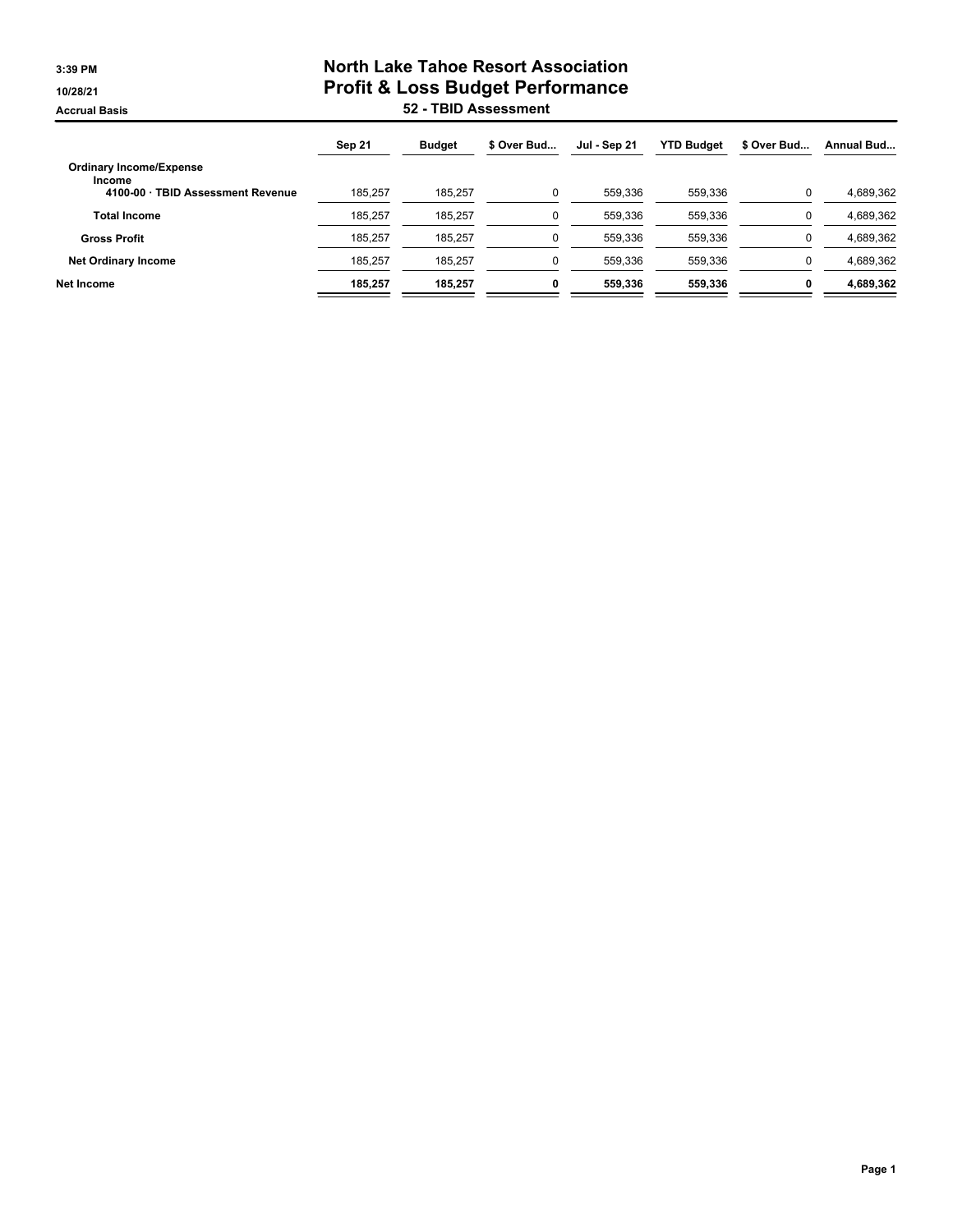## **3:39 PM North Lake Tahoe Resort Association 10/28/21 Profit & Loss Budget Performance Accrual Basis 52 - TBID Assessment**

|                                          | Sep 21  | <b>Budget</b> | \$ Over Bud | <b>Jul - Sep 21</b> | <b>YTD Budget</b> | \$ Over Bud | Annual Bud |
|------------------------------------------|---------|---------------|-------------|---------------------|-------------------|-------------|------------|
| <b>Ordinary Income/Expense</b><br>Income |         |               |             |                     |                   |             |            |
| 4100-00 · TBID Assessment Revenue        | 185.257 | 185.257       | 0           | 559.336             | 559.336           |             | 4.689.362  |
| <b>Total Income</b>                      | 185.257 | 185.257       |             | 559.336             | 559.336           |             | 4.689.362  |
| <b>Gross Profit</b>                      | 185.257 | 185.257       |             | 559.336             | 559,336           |             | 4.689.362  |
| <b>Net Ordinary Income</b>               | 185.257 | 185.257       | $\Omega$    | 559.336             | 559,336           |             | 4,689,362  |
| Net Income                               | 185.257 | 185.257       | 0           | 559.336             | 559.336           |             | 4.689.362  |
|                                          |         |               |             |                     |                   |             |            |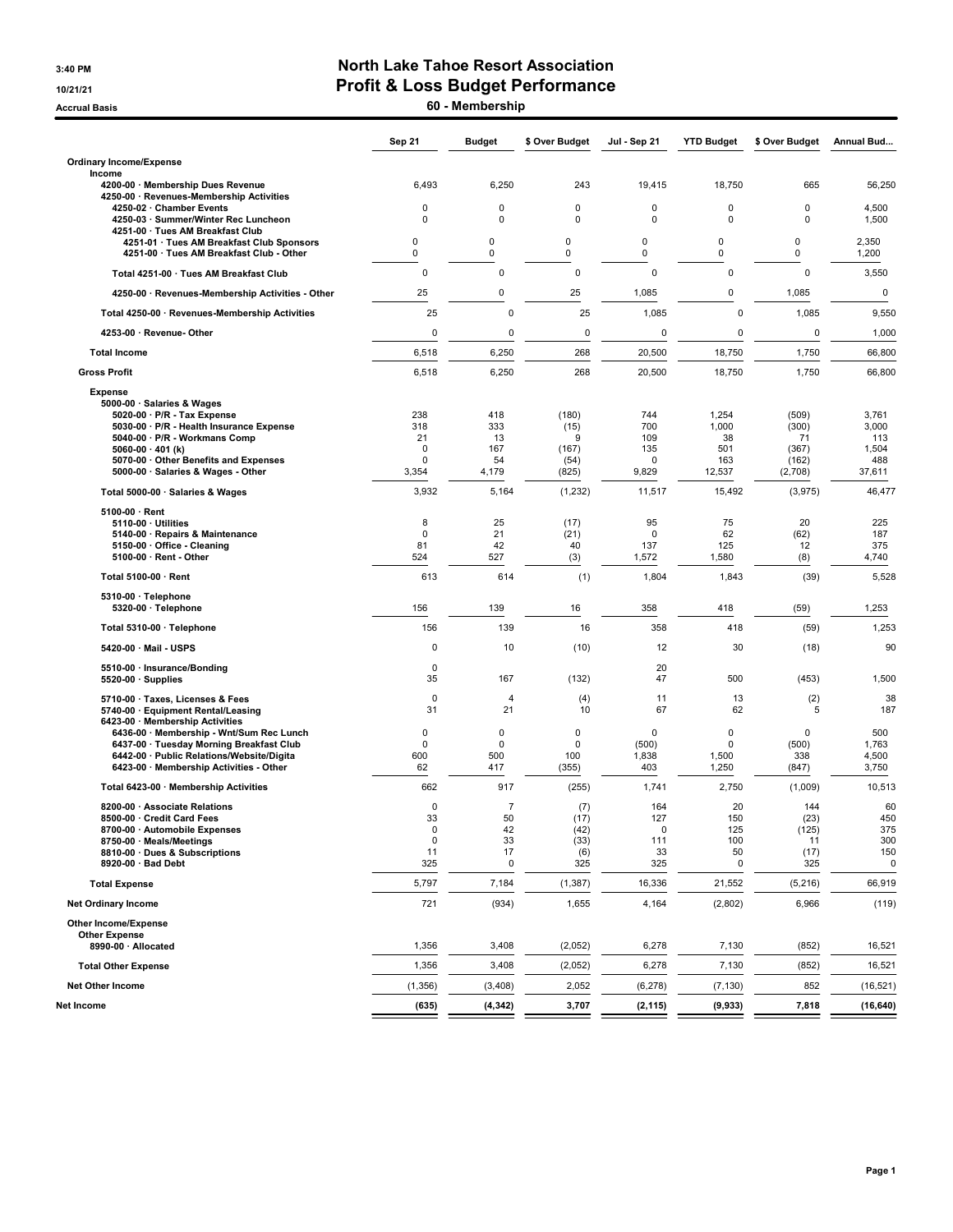#### 3:40 PM North Lake Tahoe Resort Association 10/21/21 10/21/21

Accrual Basis **60 - Membership** 

|                                                                                                                                                                              | <b>Sep 21</b>              | <b>Budget</b>              | \$ Over Budget         | Jul - Sep 21                         | <b>YTD Budget</b>        | \$ Over Budget                       | Annual Bud                     |
|------------------------------------------------------------------------------------------------------------------------------------------------------------------------------|----------------------------|----------------------------|------------------------|--------------------------------------|--------------------------|--------------------------------------|--------------------------------|
| <b>Ordinary Income/Expense</b>                                                                                                                                               |                            |                            |                        |                                      |                          |                                      |                                |
| Income<br>4200-00 · Membership Dues Revenue<br>4250-00 · Revenues-Membership Activities                                                                                      | 6,493                      | 6,250                      | 243                    | 19,415                               | 18,750                   | 665                                  | 56,250                         |
| 4250-02 · Chamber Events<br>4250-03 · Summer/Winter Rec Luncheon<br>4251-00 · Tues AM Breakfast Club                                                                         | $\mathbf 0$<br>$\mathbf 0$ | 0<br>0                     | 0<br>0                 | $\mathbf 0$<br>$\mathbf 0$           | 0<br>$\mathbf 0$         | 0<br>$\mathbf 0$                     | 4,500<br>1,500                 |
| 4251-01 · Tues AM Breakfast Club Sponsors<br>4251-00 · Tues AM Breakfast Club - Other                                                                                        | 0<br>0                     | 0<br>$\mathbf 0$           | 0<br>0                 | 0<br>0                               | 0<br>0                   | $\mathbf 0$<br>$\mathbf 0$           | 2,350<br>1,200                 |
| Total 4251-00 · Tues AM Breakfast Club                                                                                                                                       | $\mathbf 0$                | 0                          | $\mathbf 0$            | $\mathbf 0$                          | 0                        | $\mathbf 0$                          | 3,550                          |
| 4250-00 · Revenues-Membership Activities - Other                                                                                                                             | 25                         | 0                          | 25                     | 1,085                                | 0                        | 1,085                                | 0                              |
| Total 4250-00 · Revenues-Membership Activities                                                                                                                               | 25                         | $\mathbf 0$                | 25                     | 1,085                                | $\mathbf 0$              | 1,085                                | 9,550                          |
| 4253-00 · Revenue- Other                                                                                                                                                     | 0                          | $\mathbf 0$                | 0                      | 0                                    | $\mathbf 0$              | $\mathbf 0$                          | 1,000                          |
| <b>Total Income</b>                                                                                                                                                          | 6,518                      | 6,250                      | 268                    | 20,500                               | 18,750                   | 1,750                                | 66,800                         |
| <b>Gross Profit</b>                                                                                                                                                          | 6,518                      | 6,250                      | 268                    | 20,500                               | 18,750                   | 1,750                                | 66,800                         |
| <b>Expense</b><br>5000-00 · Salaries & Wages<br>5020-00 · P/R - Tax Expense                                                                                                  | 238                        | 418                        | (180)                  | 744                                  | 1,254                    | (509)                                | 3,761                          |
| 5030-00 · P/R - Health Insurance Expense<br>5040 00 · P/R - Workmans Comp                                                                                                    | 318<br>21                  | 333<br>13                  | (15)<br>9              | 700<br>109                           | 1,000<br>38              | (300)<br>71                          | 3,000<br>113                   |
| 5060-00 $\cdot$ 401 (k)                                                                                                                                                      | $\mathbf 0$<br>$\mathbf 0$ | 167<br>54                  | (167)                  | 135<br>$\mathbf 0$                   | 501<br>163               | (367)                                | 1,504<br>488                   |
| 5070-00 Other Benefits and Expenses<br>5000-00 · Salaries & Wages - Other                                                                                                    | 3,354                      | 4,179                      | (54)<br>(825)          | 9,829                                | 12,537                   | (162)<br>(2,708)                     | 37,611                         |
| Total 5000-00 · Salaries & Wages                                                                                                                                             | 3,932                      | 5,164                      | (1, 232)               | 11,517                               | 15,492                   | (3,975)                              | 46,477                         |
| $5100-00 \cdot$ Rent                                                                                                                                                         |                            |                            |                        |                                      |                          |                                      |                                |
| $5110-00 \cdot$ Utilities<br>5140-00 · Repairs & Maintenance                                                                                                                 | 8<br>$\mathbf 0$           | 25<br>21                   | (17)<br>(21)           | 95<br>$\mathbf 0$                    | 75<br>62                 | 20<br>(62)                           | 225<br>187                     |
| 5150-00 · Office - Cleaning<br>$5100-00 \cdot$ Rent - Other                                                                                                                  | 81<br>524                  | 42<br>527                  | 40<br>(3)              | 137<br>1,572                         | 125<br>1,580             | 12<br>(8)                            | 375<br>4,740                   |
| Total 5100-00 · Rent                                                                                                                                                         | 613                        | 614                        | (1)                    | 1,804                                | 1,843                    | (39)                                 | 5,528                          |
| 5310-00 · Telephone                                                                                                                                                          |                            |                            |                        |                                      |                          |                                      |                                |
| 5320-00 · Telephone                                                                                                                                                          | 156                        | 139                        | 16                     | 358                                  | 418                      | (59)                                 | 1,253                          |
| Total 5310-00 · Telephone                                                                                                                                                    | 156                        | 139                        | 16                     | 358                                  | 418                      | (59)                                 | 1,253                          |
| 5420-00 Mail - USPS                                                                                                                                                          | $\mathbf 0$                | 10                         | (10)                   | 12                                   | 30                       | (18)                                 | 90                             |
| 5510-00 · Insurance/Bonding<br>5520-00 · Supplies                                                                                                                            | $\pmb{0}$<br>35            | 167                        | (132)                  | 20<br>47                             | 500                      | (453)                                | 1,500                          |
| 5710-00 · Taxes, Licenses & Fees<br>5740-00 · Equipment Rental/Leasing<br>6423-00 · Membership Activities                                                                    | $\mathbf 0$<br>31          | $\overline{4}$<br>21       | (4)<br>10              | 11<br>67                             | 13<br>62                 | (2)<br>5                             | 38<br>187                      |
| 6436-00 · Membership - Wnt/Sum Rec Lunch<br>6437-00 · Tuesday Morning Breakfast Club<br>6442-00 · Public Relations/Website/Digita<br>6423-00 · Membership Activities - Other | 0<br>0<br>600<br>62        | 0<br>0<br>500<br>417       | 0<br>0<br>100<br>(355) | $\mathbf 0$<br>(500)<br>1,838<br>403 | 0<br>0<br>1,500<br>1,250 | $\mathbf 0$<br>(500)<br>338<br>(847) | 500<br>1,763<br>4,500<br>3,750 |
| Total 6423-00 · Membership Activities                                                                                                                                        | 662                        | 917                        | (255)                  | 1,741                                | 2,750                    | (1,009)                              | 10,513                         |
| 8200-00 · Associate Relations<br>8500-00 · Credit Card Fees<br>8700-00 · Automobile Expenses                                                                                 | $\mathbf 0$<br>33<br>0     | $\overline{7}$<br>50<br>42 | (7)<br>(17)<br>(42)    | 164<br>127<br>0                      | 20<br>150<br>125         | 144<br>(23)<br>(125)                 | 60<br>450<br>375               |
| 8750-00 · Meals/Meetings<br>8810-00 · Dues & Subscriptions                                                                                                                   | $\pmb{0}$<br>11            | 33<br>17                   | (33)                   | 111<br>33                            | 100<br>50                | 11<br>(17)                           | 300<br>150                     |
| 8920-00 · Bad Debt                                                                                                                                                           | 325                        | 0                          | (6)<br>325             | 325                                  | 0                        | 325                                  | 0                              |
| <b>Total Expense</b>                                                                                                                                                         | 5,797                      | 7,184                      | (1, 387)               | 16,336                               | 21,552                   | (5, 216)                             | 66,919                         |
| <b>Net Ordinary Income</b>                                                                                                                                                   | 721                        | (934)                      | 1,655                  | 4,164                                | (2,802)                  | 6,966                                | (119)                          |
| Other Income/Expense<br><b>Other Expense</b><br>8990-00 · Allocated                                                                                                          | 1,356                      | 3,408                      | (2,052)                | 6,278                                | 7,130                    | (852)                                | 16,521                         |
| <b>Total Other Expense</b>                                                                                                                                                   | 1,356                      | 3,408                      | (2,052)                | 6,278                                | 7,130                    | (852)                                | 16,521                         |
| Net Other Income                                                                                                                                                             | (1,356)                    | (3, 408)                   | 2,052                  | (6, 278)                             | (7, 130)                 | 852                                  | (16, 521)                      |
| Net Income                                                                                                                                                                   | (635)                      | (4, 342)                   | 3,707                  | (2, 115)                             | (9, 933)                 | 7,818                                | (16, 640)                      |
|                                                                                                                                                                              |                            |                            |                        |                                      |                          |                                      |                                |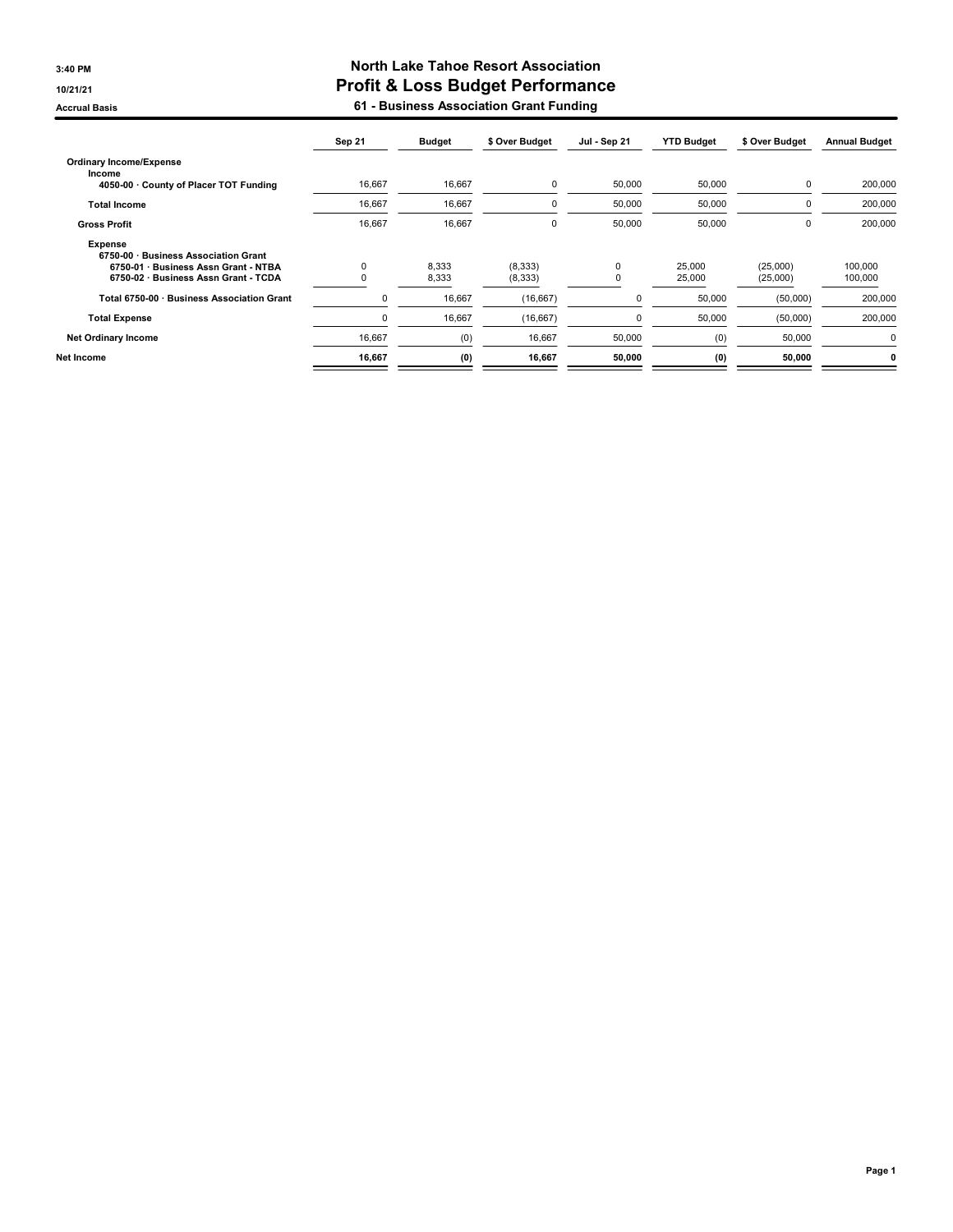#### 3:40 PM North Lake Tahoe Resort Association 10/21/21 Profit & Loss Budget Performance Accrual Basis **Accrual Basis 61 - Business Association Grant Funding**

|                                                        | Sep 21   | <b>Budget</b> | \$ Over Budget | Jul - Sep 21 | <b>YTD Budget</b> | \$ Over Budget | <b>Annual Budget</b> |
|--------------------------------------------------------|----------|---------------|----------------|--------------|-------------------|----------------|----------------------|
| <b>Ordinary Income/Expense</b>                         |          |               |                |              |                   |                |                      |
| Income<br>4050-00 County of Placer TOT Funding         | 16,667   | 16,667        | $\mathbf 0$    | 50,000       | 50,000            | 0              | 200,000              |
| <b>Total Income</b>                                    | 16,667   | 16,667        | 0              | 50,000       | 50,000            | 0              | 200,000              |
| <b>Gross Profit</b>                                    | 16,667   | 16,667        | $\mathbf 0$    | 50,000       | 50,000            | 0              | 200,000              |
| <b>Expense</b><br>6750-00 · Business Association Grant |          |               |                |              |                   |                |                      |
| 6750-01 · Business Assn Grant - NTBA                   | $\Omega$ | 8,333         | (8,333)        | 0            | 25,000            | (25,000)       | 100.000              |
| 6750-02 · Business Assn Grant - TCDA                   |          | 8,333         | (8, 333)       |              | 25,000            | (25,000)       | 100,000              |
| Total 6750-00 · Business Association Grant             | 0        | 16,667        | (16, 667)      | $\mathbf 0$  | 50,000            | (50,000)       | 200,000              |
| <b>Total Expense</b>                                   | 0        | 16,667        | (16, 667)      | $\Omega$     | 50,000            | (50,000)       | 200,000              |
| <b>Net Ordinary Income</b>                             | 16,667   | (0)           | 16,667         | 50,000       | (0)               | 50,000         | 0                    |
| Net Income                                             | 16,667   | (0)           | 16,667         | 50,000       | (0)               | 50,000         | 0                    |